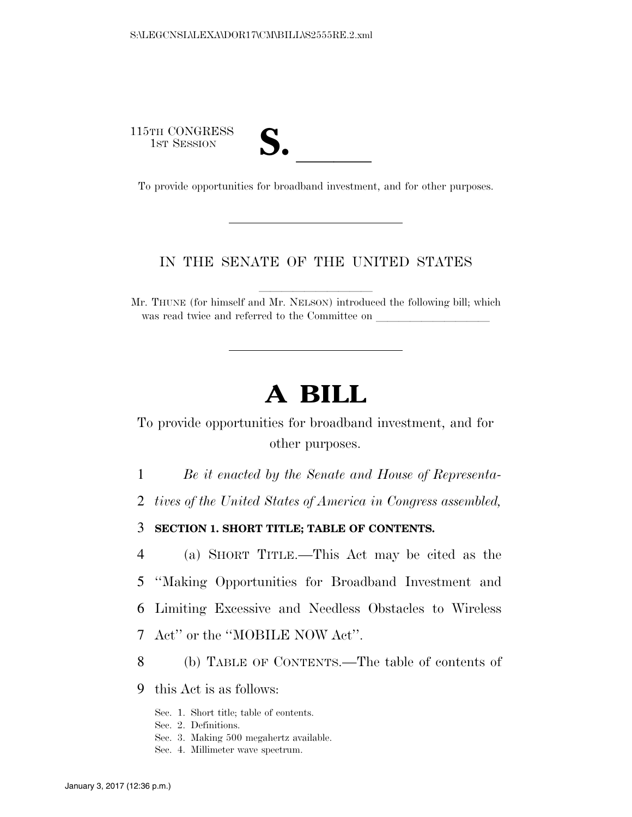115TH CONGRESS **S. laterally** 



To provide opportunities for broadband investment, and for other purposes.

#### IN THE SENATE OF THE UNITED STATES

llllllllll

Mr. THUNE (for himself and Mr. NELSON) introduced the following bill; which was read twice and referred to the Committee on

# **A BILL**

To provide opportunities for broadband investment, and for other purposes.

1 *Be it enacted by the Senate and House of Representa-*

2 *tives of the United States of America in Congress assembled,* 

3 **SECTION 1. SHORT TITLE; TABLE OF CONTENTS.** 

 (a) SHORT TITLE.—This Act may be cited as the ''Making Opportunities for Broadband Investment and Limiting Excessive and Needless Obstacles to Wireless Act'' or the ''MOBILE NOW Act''.

8 (b) TABLE OF CONTENTS.—The table of contents of

9 this Act is as follows:

Sec. 1. Short title; table of contents.

Sec. 2. Definitions.

- Sec. 3. Making 500 megahertz available.
- Sec. 4. Millimeter wave spectrum.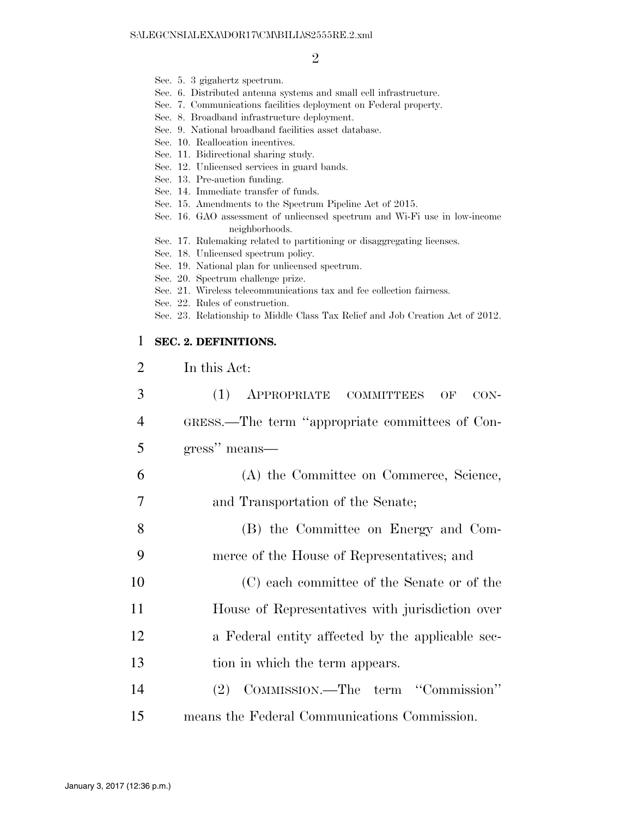- Sec. 5. 3 gigahertz spectrum.
- Sec. 6. Distributed antenna systems and small cell infrastructure.
- Sec. 7. Communications facilities deployment on Federal property.
- Sec. 8. Broadband infrastructure deployment.
- Sec. 9. National broadband facilities asset database.
- Sec. 10. Reallocation incentives.
- Sec. 11. Bidirectional sharing study.
- Sec. 12. Unlicensed services in guard bands.
- Sec. 13. Pre-auction funding.
- Sec. 14. Immediate transfer of funds.
- Sec. 15. Amendments to the Spectrum Pipeline Act of 2015.
- Sec. 16. GAO assessment of unlicensed spectrum and Wi-Fi use in low-income neighborhoods.
- Sec. 17. Rulemaking related to partitioning or disaggregating licenses.
- Sec. 18. Unlicensed spectrum policy.
- Sec. 19. National plan for unlicensed spectrum.
- Sec. 20. Spectrum challenge prize.
- Sec. 21. Wireless telecommunications tax and fee collection fairness.
- Sec. 22. Rules of construction.
- Sec. 23. Relationship to Middle Class Tax Relief and Job Creation Act of 2012.

#### 1 **SEC. 2. DEFINITIONS.**

2 In this Act:

| 3              | (1) APPROPRIATE COMMITTEES<br>$CON-$<br>OF       |
|----------------|--------------------------------------------------|
| $\overline{4}$ | GRESS.—The term "appropriate committees of Con-  |
| 5              | gress" means—                                    |
| 6              | (A) the Committee on Commerce, Science,          |
| 7              | and Transportation of the Senate;                |
| 8              | (B) the Committee on Energy and Com-             |
| 9              | merce of the House of Representatives; and       |
| 10             | (C) each committee of the Senate or of the       |
| 11             | House of Representatives with jurisdiction over  |
| 12             | a Federal entity affected by the applicable sec- |
| 13             | tion in which the term appears.                  |
| 14             | (2) COMMISSION.—The term "Commission"            |
| 15             | means the Federal Communications Commission.     |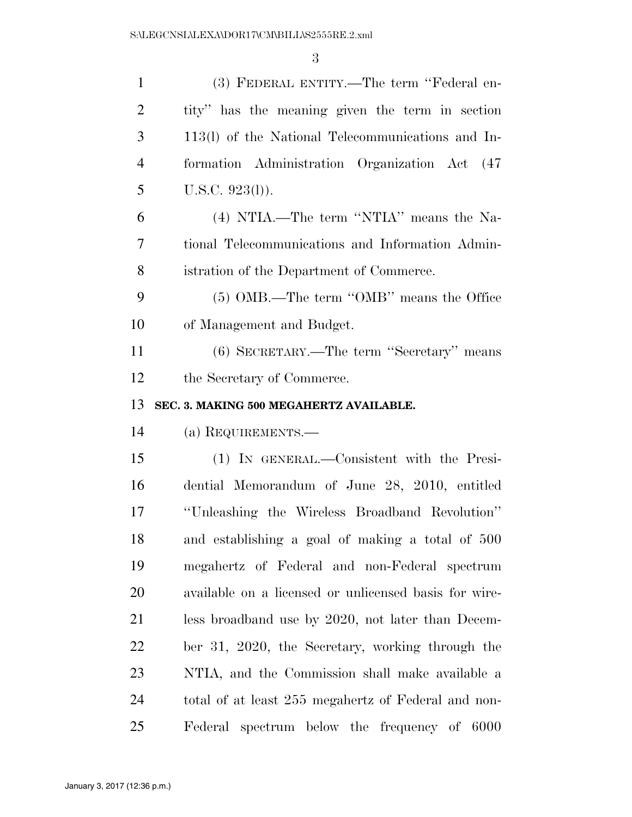| $\mathbf{1}$   | (3) FEDERAL ENTITY.—The term "Federal en-             |
|----------------|-------------------------------------------------------|
| $\overline{2}$ | tity" has the meaning given the term in section       |
| 3              | 113(1) of the National Telecommunications and In-     |
| $\overline{4}$ | formation Administration Organization Act (47)        |
| 5              | $U.S.C. 923(l)$ ).                                    |
| 6              | (4) NTIA.—The term "NTIA" means the Na-               |
| 7              | tional Telecommunications and Information Admin-      |
| 8              | istration of the Department of Commerce.              |
| 9              | (5) OMB.—The term "OMB" means the Office              |
| 10             | of Management and Budget.                             |
| 11             | (6) SECRETARY.—The term "Secretary" means             |
| 12             | the Secretary of Commerce.                            |
|                |                                                       |
| 13             | SEC. 3. MAKING 500 MEGAHERTZ AVAILABLE.               |
| 14             | (a) REQUIREMENTS.—                                    |
| 15             | (1) IN GENERAL.—Consistent with the Presi-            |
| 16             | dential Memorandum of June 28, 2010, entitled         |
| 17             | "Unleashing the Wireless Broadband Revolution"        |
| 18             | and establishing a goal of making a total of 500      |
| 19             | megahertz of Federal and non-Federal spectrum         |
| 20             | available on a licensed or unlicensed basis for wire- |
| 21             | less broadband use by 2020, not later than Decem-     |
| 22             | ber 31, 2020, the Secretary, working through the      |
| 23             | NTIA, and the Commission shall make available a       |
| 24             | total of at least 255 megahertz of Federal and non-   |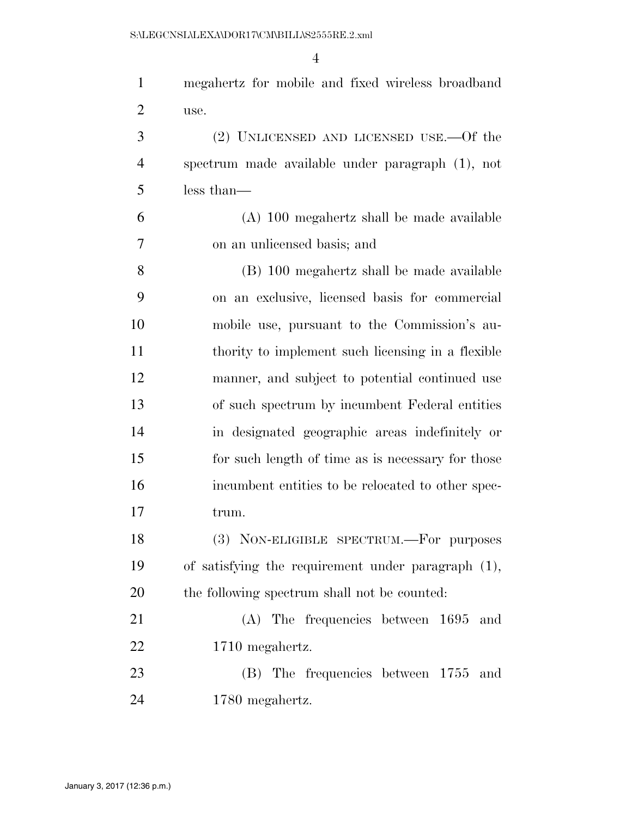| $\mathbf{1}$   | megahertz for mobile and fixed wireless broadband  |
|----------------|----------------------------------------------------|
| $\overline{2}$ | use.                                               |
| 3              | $(2)$ UNLICENSED AND LICENSED USE.—Of the          |
| $\overline{4}$ | spectrum made available under paragraph (1), not   |
| 5              | less than—                                         |
| 6              | (A) 100 megahertz shall be made available          |
| 7              | on an unlicensed basis; and                        |
| 8              | (B) 100 megahertz shall be made available          |
| 9              | on an exclusive, licensed basis for commercial     |
| 10             | mobile use, pursuant to the Commission's au-       |
| 11             | thority to implement such licensing in a flexible  |
| 12             | manner, and subject to potential continued use     |
| 13             | of such spectrum by incumbent Federal entities     |
| 14             | in designated geographic areas indefinitely or     |
| 15             | for such length of time as is necessary for those  |
| 16             | incumbent entities to be relocated to other spec-  |
| 17             | trum.                                              |
| 18             | (3) NON-ELIGIBLE SPECTRUM.-For purposes            |
| 19             | of satisfying the requirement under paragraph (1), |
| 20             | the following spectrum shall not be counted:       |
| 21             | $(A)$ The frequencies between 1695<br>and          |
| 22             | 1710 megahertz.                                    |
| 23             | (B) The frequencies between 1755 and               |
| 24             | 1780 megahertz.                                    |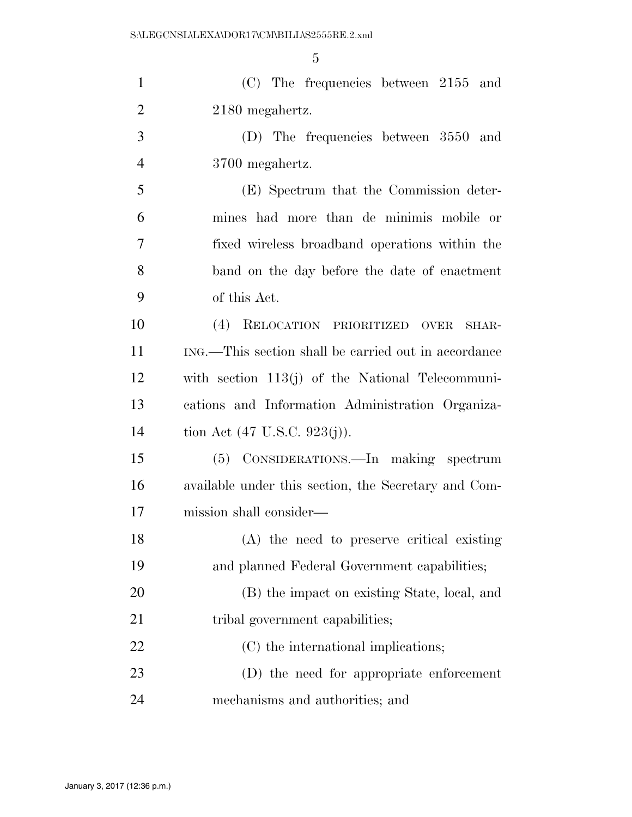| $\mathbf{1}$   | $(C)$ The frequencies between 2155 and               |
|----------------|------------------------------------------------------|
| $\overline{2}$ | 2180 megahertz.                                      |
| 3              | (D) The frequencies between 3550 and                 |
| $\overline{4}$ | 3700 megahertz.                                      |
| 5              | (E) Spectrum that the Commission deter-              |
| 6              | mines had more than de minimis mobile or             |
| 7              | fixed wireless broadband operations within the       |
| 8              | band on the day before the date of enactment         |
| 9              | of this Act.                                         |
| 10             | (4) RELOCATION PRIORITIZED<br><b>OVER</b><br>SHAR-   |
| 11             | ING.—This section shall be carried out in accordance |
| 12             | with section $113(j)$ of the National Telecommuni-   |
| 13             | cations and Information Administration Organiza-     |
| 14             | tion Act $(47 \text{ U.S.C. } 923(j)).$              |
| 15             | (5) CONSIDERATIONS.—In making spectrum               |
| 16             | available under this section, the Secretary and Com- |
| 17             | mission shall consider—                              |
| 18             | (A) the need to preserve critical existing           |
| 19             | and planned Federal Government capabilities;         |
| 20             | (B) the impact on existing State, local, and         |
| 21             | tribal government capabilities;                      |
| 22             | (C) the international implications;                  |
| 23             | (D) the need for appropriate enforcement             |
| 24             | mechanisms and authorities; and                      |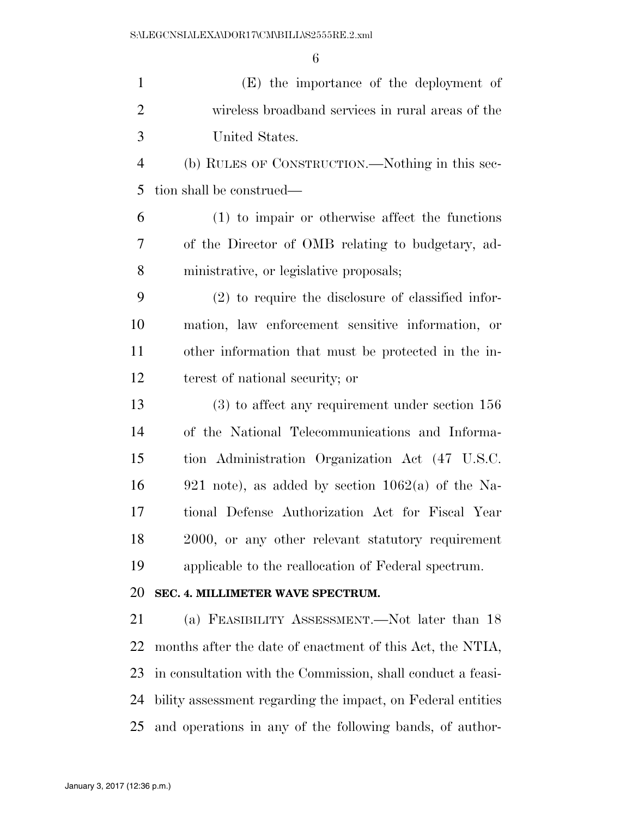| $\mathbf{1}$   | (E) the importance of the deployment of                     |
|----------------|-------------------------------------------------------------|
| $\overline{2}$ | wireless broadband services in rural areas of the           |
| 3              | United States.                                              |
| $\overline{4}$ | (b) RULES OF CONSTRUCTION.—Nothing in this sec-             |
| 5              | tion shall be construed—                                    |
| 6              | (1) to impair or otherwise affect the functions             |
| 7              | of the Director of OMB relating to budgetary, ad-           |
| 8              | ministrative, or legislative proposals;                     |
| 9              | $(2)$ to require the disclosure of classified infor-        |
| 10             | mation, law enforcement sensitive information, or           |
| 11             | other information that must be protected in the in-         |
| 12             | terest of national security; or                             |
| 13             | $(3)$ to affect any requirement under section 156           |
| 14             | of the National Telecommunications and Informa-             |
| 15             | tion Administration Organization Act (47 U.S.C.             |
| 16             | 921 note), as added by section $1062(a)$ of the Na-         |
| 17             | tional Defense Authorization Act for Fiscal Year            |
| 18             | 2000, or any other relevant statutory requirement           |
| 19             | applicable to the reallocation of Federal spectrum.         |
| 20             | SEC. 4. MILLIMETER WAVE SPECTRUM.                           |
| 21             | (a) FEASIBILITY ASSESSMENT.—Not later than 18               |
| 22             | months after the date of enactment of this Act, the NTIA,   |
| 23             | in consultation with the Commission, shall conduct a feasi- |
| 24             | bility assessment regarding the impact, on Federal entities |
| 25             | and operations in any of the following bands, of author-    |
|                |                                                             |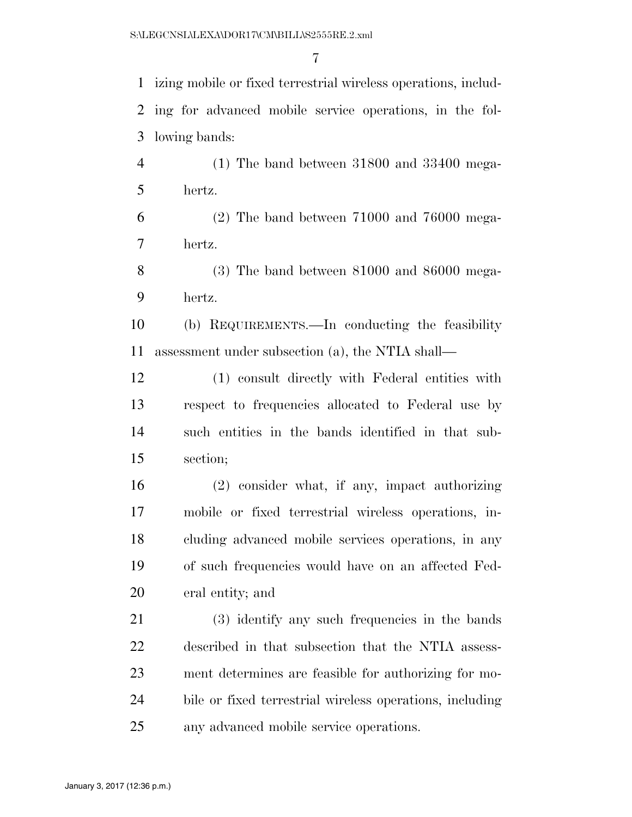izing mobile or fixed terrestrial wireless operations, includ- ing for advanced mobile service operations, in the fol-lowing bands:

 (1) The band between 31800 and 33400 mega-hertz.

 (2) The band between 71000 and 76000 mega-hertz.

 (3) The band between 81000 and 86000 mega-hertz.

 (b) REQUIREMENTS.—In conducting the feasibility assessment under subsection (a), the NTIA shall—

 (1) consult directly with Federal entities with respect to frequencies allocated to Federal use by such entities in the bands identified in that sub-section;

 (2) consider what, if any, impact authorizing mobile or fixed terrestrial wireless operations, in- cluding advanced mobile services operations, in any of such frequencies would have on an affected Fed-eral entity; and

 (3) identify any such frequencies in the bands described in that subsection that the NTIA assess- ment determines are feasible for authorizing for mo- bile or fixed terrestrial wireless operations, including any advanced mobile service operations.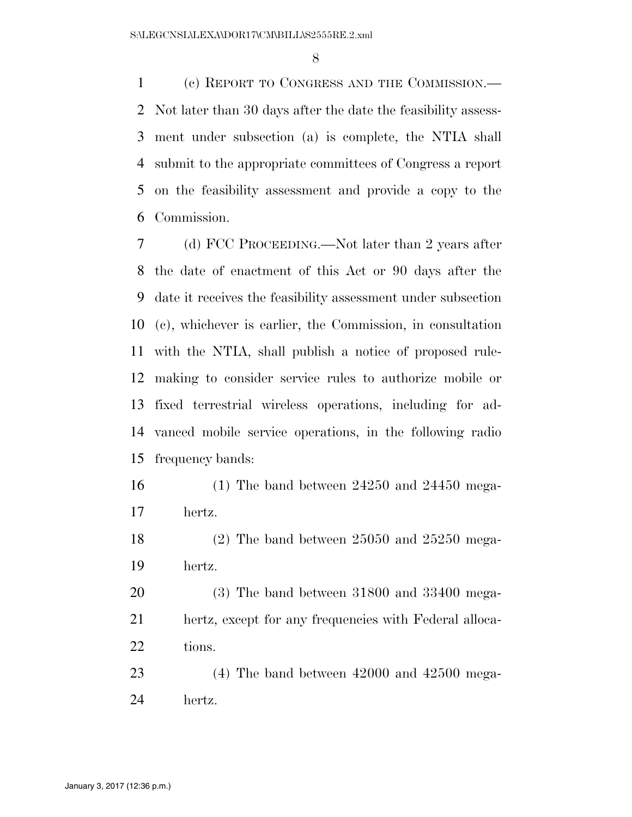(c) REPORT TO CONGRESS AND THE COMMISSION.— Not later than 30 days after the date the feasibility assess- ment under subsection (a) is complete, the NTIA shall submit to the appropriate committees of Congress a report on the feasibility assessment and provide a copy to the Commission.

 (d) FCC PROCEEDING.—Not later than 2 years after the date of enactment of this Act or 90 days after the date it receives the feasibility assessment under subsection (c), whichever is earlier, the Commission, in consultation with the NTIA, shall publish a notice of proposed rule- making to consider service rules to authorize mobile or fixed terrestrial wireless operations, including for ad- vanced mobile service operations, in the following radio frequency bands:

 (1) The band between 24250 and 24450 mega-hertz.

 (2) The band between 25050 and 25250 mega-hertz.

 (3) The band between 31800 and 33400 mega- hertz, except for any frequencies with Federal alloca-22 tions.

 (4) The band between 42000 and 42500 mega-hertz.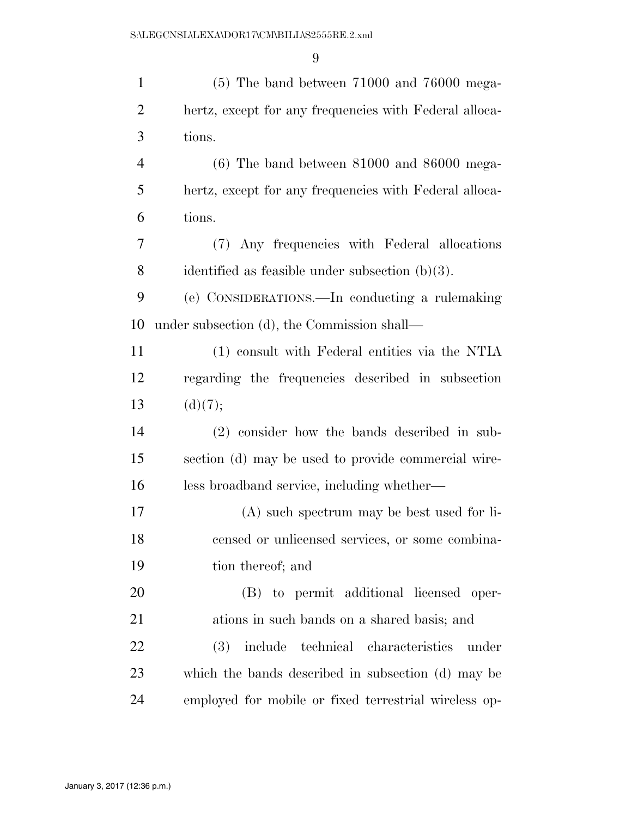| $\mathbf{1}$   | $(5)$ The band between 71000 and 76000 mega-           |
|----------------|--------------------------------------------------------|
| $\overline{2}$ | hertz, except for any frequencies with Federal alloca- |
| 3              | tions.                                                 |
| $\overline{4}$ | $(6)$ The band between 81000 and 86000 mega-           |
| 5              | hertz, except for any frequencies with Federal alloca- |
| 6              | tions.                                                 |
| 7              | (7) Any frequencies with Federal allocations           |
| 8              | identified as feasible under subsection $(b)(3)$ .     |
| 9              | (e) CONSIDERATIONS.—In conducting a rulemaking         |
| 10             | under subsection (d), the Commission shall—            |
| 11             | (1) consult with Federal entities via the NTIA         |
| 12             | regarding the frequencies described in subsection      |
| 13             | (d)(7);                                                |
| 14             | $(2)$ consider how the bands described in sub-         |
| 15             | section (d) may be used to provide commercial wire-    |
| 16             | less broadband service, including whether—             |
| 17             | $(A)$ such spectrum may be best used for li-           |
| 18             | censed or unlicensed services, or some combina-        |
| 19             | tion thereof; and                                      |
| 20             | (B) to permit additional licensed oper-                |
| 21             | ations in such bands on a shared basis; and            |
| 22             | include technical characteristics<br>(3)<br>under      |
| 23             | which the bands described in subsection (d) may be     |
| 24             | employed for mobile or fixed terrestrial wireless op-  |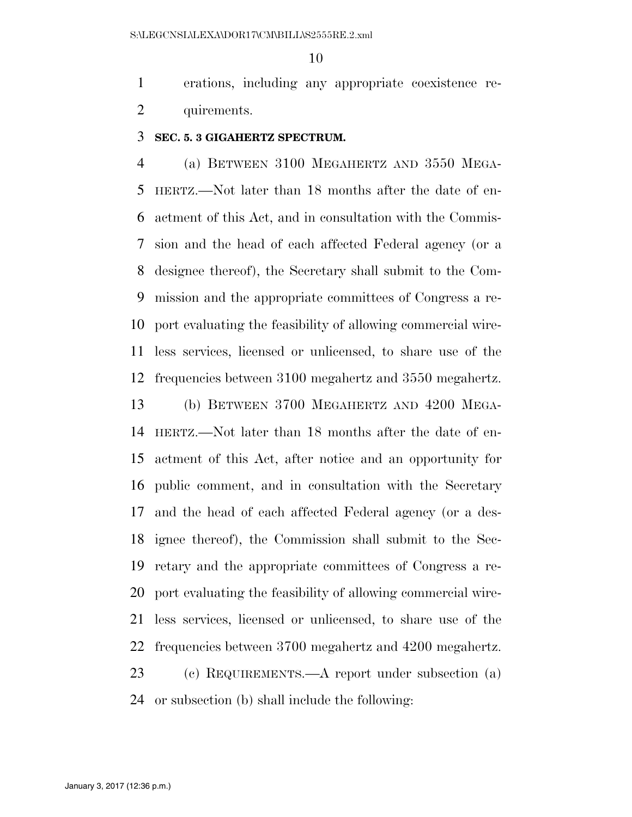erations, including any appropriate coexistence re-quirements.

#### **SEC. 5. 3 GIGAHERTZ SPECTRUM.**

 (a) BETWEEN 3100 MEGAHERTZ AND 3550 MEGA- HERTZ.—Not later than 18 months after the date of en- actment of this Act, and in consultation with the Commis- sion and the head of each affected Federal agency (or a designee thereof), the Secretary shall submit to the Com- mission and the appropriate committees of Congress a re- port evaluating the feasibility of allowing commercial wire- less services, licensed or unlicensed, to share use of the frequencies between 3100 megahertz and 3550 megahertz.

 (b) BETWEEN 3700 MEGAHERTZ AND 4200 MEGA- HERTZ.—Not later than 18 months after the date of en- actment of this Act, after notice and an opportunity for public comment, and in consultation with the Secretary and the head of each affected Federal agency (or a des- ignee thereof), the Commission shall submit to the Sec- retary and the appropriate committees of Congress a re- port evaluating the feasibility of allowing commercial wire- less services, licensed or unlicensed, to share use of the frequencies between 3700 megahertz and 4200 megahertz. (c) REQUIREMENTS.—A report under subsection (a)

or subsection (b) shall include the following: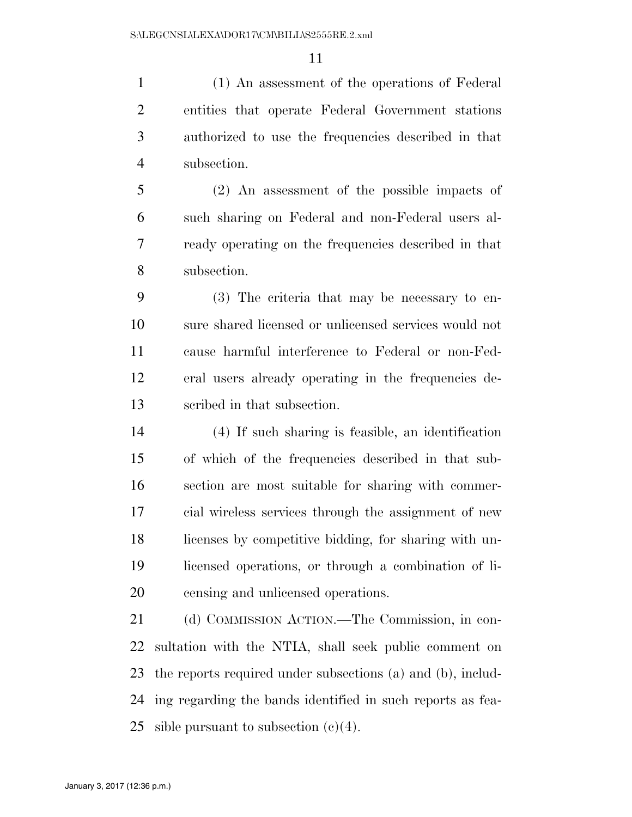(1) An assessment of the operations of Federal entities that operate Federal Government stations authorized to use the frequencies described in that subsection.

 (2) An assessment of the possible impacts of such sharing on Federal and non-Federal users al- ready operating on the frequencies described in that subsection.

 (3) The criteria that may be necessary to en- sure shared licensed or unlicensed services would not cause harmful interference to Federal or non-Fed- eral users already operating in the frequencies de-scribed in that subsection.

 (4) If such sharing is feasible, an identification of which of the frequencies described in that sub- section are most suitable for sharing with commer- cial wireless services through the assignment of new licenses by competitive bidding, for sharing with un- licensed operations, or through a combination of li-censing and unlicensed operations.

 (d) COMMISSION ACTION.—The Commission, in con- sultation with the NTIA, shall seek public comment on the reports required under subsections (a) and (b), includ- ing regarding the bands identified in such reports as fea-25 sible pursuant to subsection  $(c)(4)$ .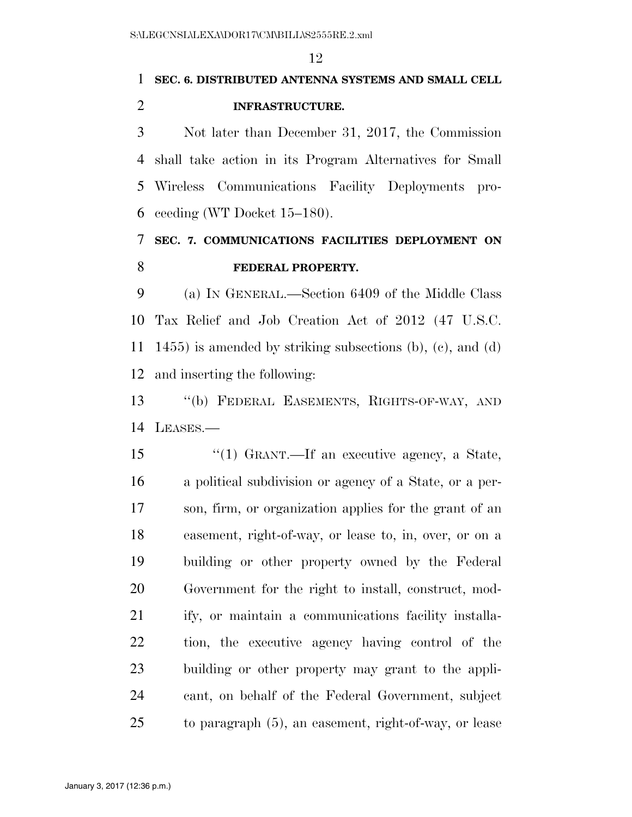# **SEC. 6. DISTRIBUTED ANTENNA SYSTEMS AND SMALL CELL INFRASTRUCTURE.**

 Not later than December 31, 2017, the Commission shall take action in its Program Alternatives for Small Wireless Communications Facility Deployments pro-ceeding (WT Docket 15–180).

## **SEC. 7. COMMUNICATIONS FACILITIES DEPLOYMENT ON FEDERAL PROPERTY.**

 (a) IN GENERAL.—Section 6409 of the Middle Class Tax Relief and Job Creation Act of 2012 (47 U.S.C. 1455) is amended by striking subsections (b), (c), and (d) and inserting the following:

 ''(b) FEDERAL EASEMENTS, RIGHTS-OF-WAY, AND LEASES.—

 ''(1) GRANT.—If an executive agency, a State, a political subdivision or agency of a State, or a per- son, firm, or organization applies for the grant of an easement, right-of-way, or lease to, in, over, or on a building or other property owned by the Federal Government for the right to install, construct, mod- ify, or maintain a communications facility installa- tion, the executive agency having control of the building or other property may grant to the appli- cant, on behalf of the Federal Government, subject to paragraph (5), an easement, right-of-way, or lease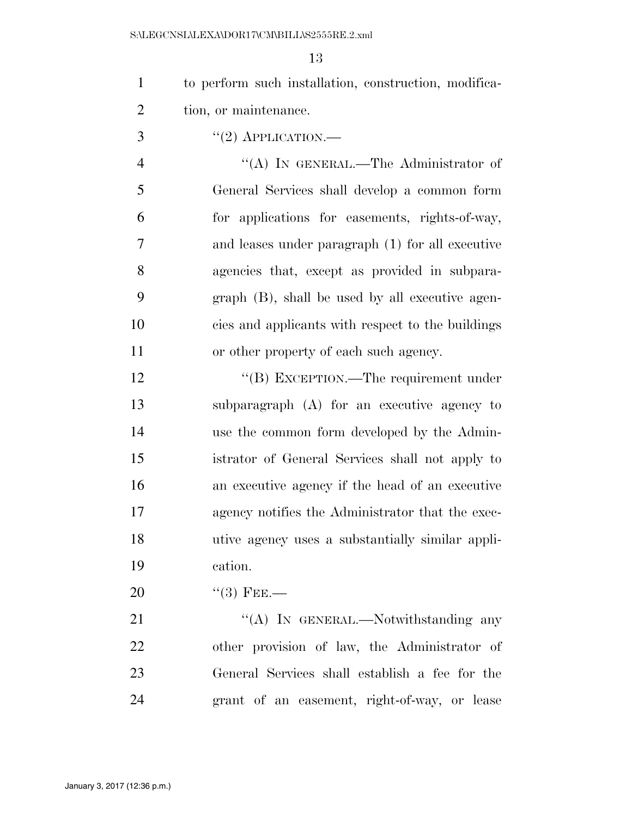| $\mathbf{1}$   | to perform such installation, construction, modifica- |
|----------------|-------------------------------------------------------|
| $\overline{2}$ | tion, or maintenance.                                 |
| 3              | $``(2)$ APPLICATION.—                                 |
| $\overline{4}$ | "(A) IN GENERAL.—The Administrator of                 |
| 5              | General Services shall develop a common form          |
| 6              | for applications for easements, rights-of-way,        |
| 7              | and leases under paragraph (1) for all executive      |
| 8              | agencies that, except as provided in subpara-         |
| 9              | $graph$ (B), shall be used by all executive agen-     |
| 10             | cies and applicants with respect to the buildings     |
| 11             | or other property of each such agency.                |
| 12             | "(B) EXCEPTION.—The requirement under                 |
| 13             | subparagraph (A) for an executive agency to           |
| 14             | use the common form developed by the Admin-           |
| 15             | istrator of General Services shall not apply to       |
| 16             | an executive agency if the head of an executive       |
| 17             | agency notifies the Administrator that the exec-      |
| 18             | utive agency uses a substantially similar appli-      |
| 19             | cation.                                               |
| 20             | $\cdot\cdot$ (3) FEE.—                                |
| 21             | "(A) IN GENERAL.—Notwithstanding any                  |
| 22             | other provision of law, the Administrator of          |
| 23             | General Services shall establish a fee for the        |

grant of an easement, right-of-way, or lease

January 3, 2017 (12:36 p.m.)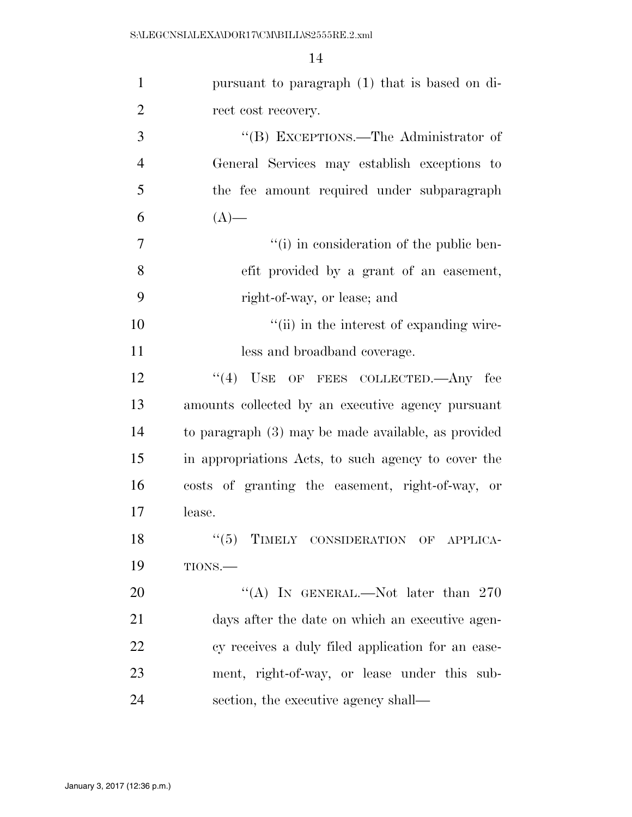| $\mathbf{1}$   | pursuant to paragraph (1) that is based on di-      |
|----------------|-----------------------------------------------------|
| $\overline{2}$ | rect cost recovery.                                 |
| 3              | "(B) EXCEPTIONS.—The Administrator of               |
| $\overline{4}$ | General Services may establish exceptions to        |
| 5              | the fee amount required under subparagraph          |
| 6              | $(A)$ —                                             |
| $\overline{7}$ | "(i) in consideration of the public ben-            |
| 8              | efit provided by a grant of an easement,            |
| 9              | right-of-way, or lease; and                         |
| 10             | "(ii) in the interest of expanding wire-            |
| 11             | less and broadband coverage.                        |
| 12             | $(4)$ USE OF FEES COLLECTED.—Any fee                |
| 13             | amounts collected by an executive agency pursuant   |
| 14             | to paragraph (3) may be made available, as provided |
| 15             | in appropriations Acts, to such agency to cover the |
| 16             | costs of granting the easement, right-of-way, or    |
| 17             | lease.                                              |
| 18             | $``(5)$ TIMELY CONSIDERATION OF APPLICA-            |
| 19             | TIONS.                                              |
| <b>20</b>      | "(A) IN GENERAL.—Not later than $270$               |
| 21             | days after the date on which an executive agen-     |
| 22             | cy receives a duly filed application for an ease-   |
| 23             | ment, right-of-way, or lease under this sub-        |
| 24             | section, the executive agency shall—                |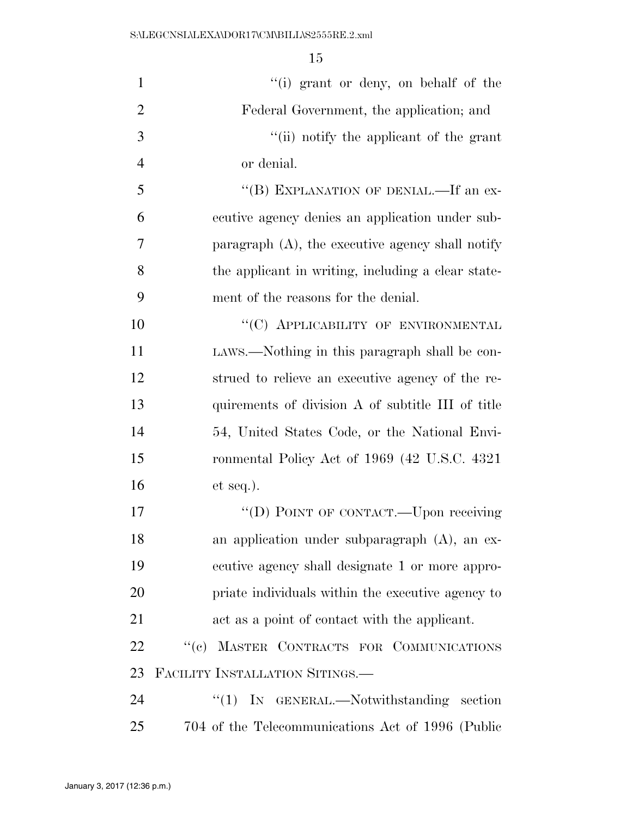| $\mathbf{1}$   | "(i) grant or deny, on behalf of the                |
|----------------|-----------------------------------------------------|
| $\overline{2}$ | Federal Government, the application; and            |
| 3              | "(ii) notify the applicant of the grant             |
| $\overline{4}$ | or denial.                                          |
| 5              | "(B) EXPLANATION OF DENIAL.—If an ex-               |
| 6              | ecutive agency denies an application under sub-     |
| 7              | paragraph $(A)$ , the executive agency shall notify |
| 8              | the applicant in writing, including a clear state-  |
| 9              | ment of the reasons for the denial.                 |
| 10             | "(C) APPLICABILITY OF ENVIRONMENTAL                 |
| 11             | LAWS.—Nothing in this paragraph shall be con-       |
| 12             | strued to relieve an executive agency of the re-    |
| 13             | quirements of division A of subtitle III of title   |
| 14             | 54, United States Code, or the National Envi-       |
| 15             | ronmental Policy Act of 1969 (42 U.S.C. 4321)       |
| 16             | $et seq.$ ).                                        |
| 17             | "(D) POINT OF CONTACT.—Upon receiving               |
| 18             | an application under subparagraph $(A)$ , an ex-    |
| 19             | ecutive agency shall designate 1 or more appro-     |
| 20             | priate individuals within the executive agency to   |
| 21             | act as a point of contact with the applicant.       |
| 22             | "(c) MASTER CONTRACTS FOR COMMUNICATIONS            |
| 23             | FACILITY INSTALLATION SITINGS.                      |
| 24             | " $(1)$ IN GENERAL.—Notwithstanding<br>section      |
| 25             | 704 of the Telecommunications Act of 1996 (Public   |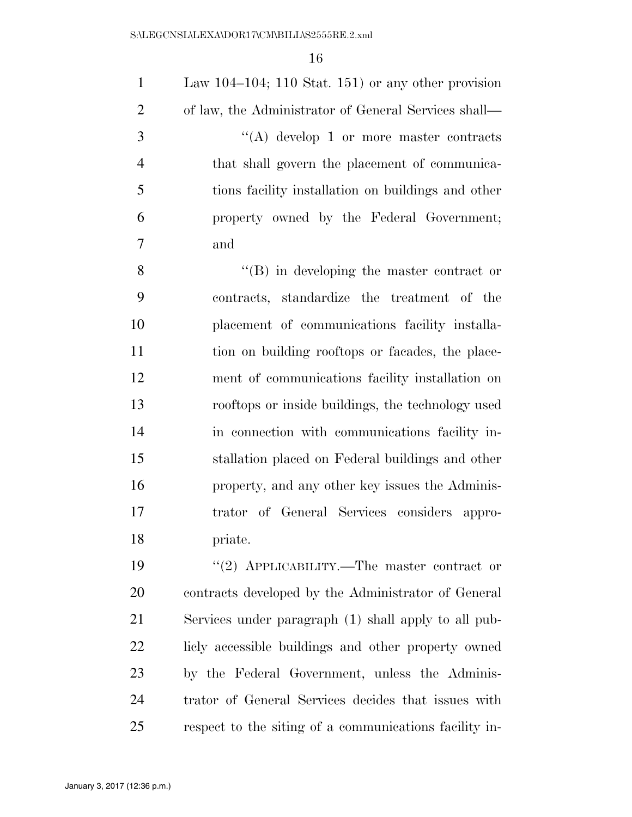| $\mathbf{1}$     | Law 104–104; 110 Stat. 151) or any other provision     |
|------------------|--------------------------------------------------------|
| $\overline{2}$   | of law, the Administrator of General Services shall—   |
| 3                | "(A) develop 1 or more master contracts                |
| $\overline{4}$   | that shall govern the placement of communica-          |
| 5                | tions facility installation on buildings and other     |
| 6                | property owned by the Federal Government;              |
| $\boldsymbol{7}$ | and                                                    |
| 8                | $\lq\lq (B)$ in developing the master contract or      |
| 9                | contracts, standardize the treatment of the            |
| 10               | placement of communications facility installa-         |
| 11               | tion on building rooftops or facades, the place-       |
| 12               | ment of communications facility installation on        |
| 13               | rooftops or inside buildings, the technology used      |
| 14               | in connection with communications facility in-         |
| 15               | stallation placed on Federal buildings and other       |
| 16               | property, and any other key issues the Adminis-        |
| 17               | trator of General Services considers appro-            |
| 18               | priate.                                                |
| 19               | "(2) APPLICABILITY.—The master contract or             |
| 20               | contracts developed by the Administrator of General    |
| 21               | Services under paragraph (1) shall apply to all pub-   |
| 22               | licly accessible buildings and other property owned    |
| 23               | by the Federal Government, unless the Adminis-         |
| 24               | trator of General Services decides that issues with    |
| 25               | respect to the siting of a communications facility in- |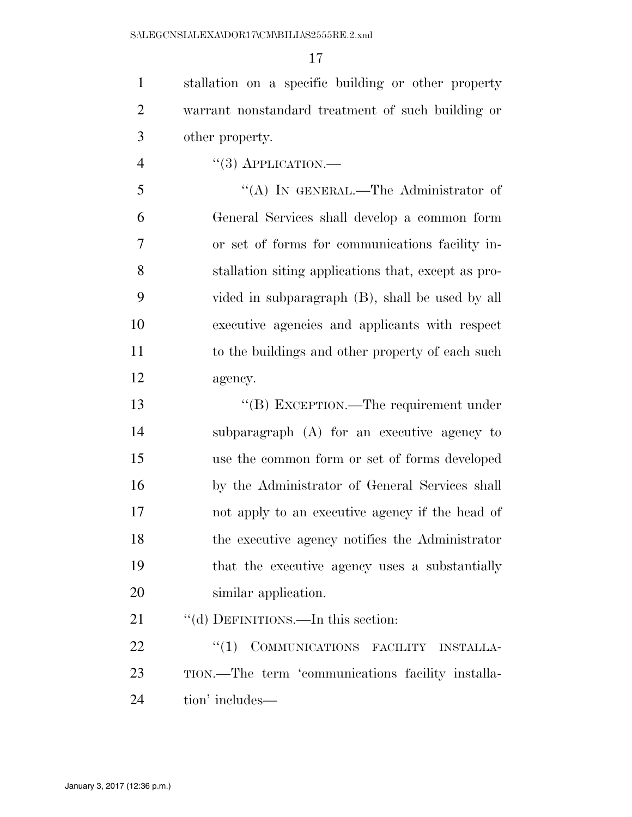stallation on a specific building or other property warrant nonstandard treatment of such building or other property.

"(3) APPLICATION.—

 ''(A) IN GENERAL.—The Administrator of General Services shall develop a common form or set of forms for communications facility in- stallation siting applications that, except as pro- vided in subparagraph (B), shall be used by all executive agencies and applicants with respect to the buildings and other property of each such agency.

 ''(B) EXCEPTION.—The requirement under subparagraph (A) for an executive agency to use the common form or set of forms developed by the Administrator of General Services shall not apply to an executive agency if the head of the executive agency notifies the Administrator that the executive agency uses a substantially similar application.

21 ""(d) DEFINITIONS.—In this section:

22 "(1) COMMUNICATIONS FACILITY INSTALLA- TION.—The term 'communications facility installa-tion' includes—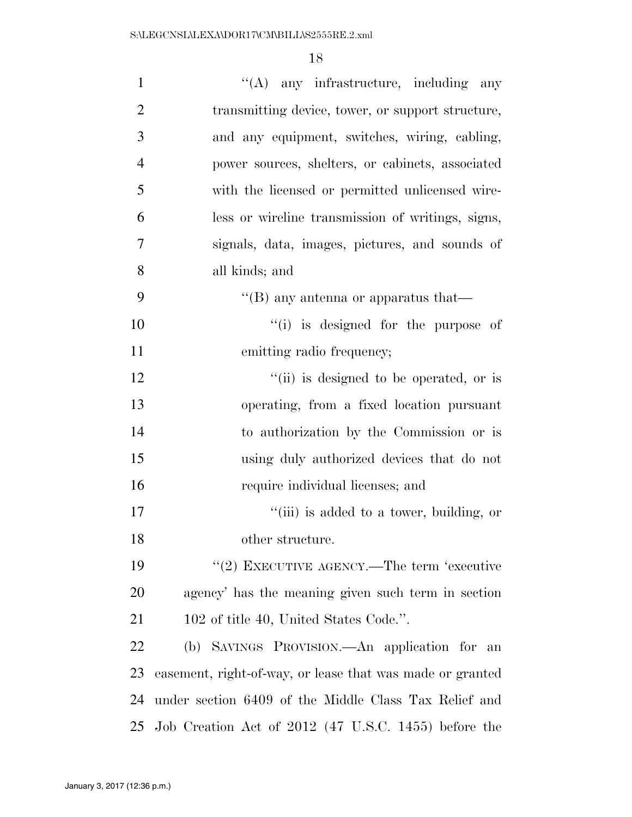| $\mathbf{1}$   | $\lq\lq$ any infrastructure, including any                |
|----------------|-----------------------------------------------------------|
| $\overline{2}$ | transmitting device, tower, or support structure,         |
| 3              | and any equipment, switches, wiring, cabling,             |
| $\overline{4}$ | power sources, shelters, or cabinets, associated          |
| 5              | with the licensed or permitted unlicensed wire-           |
| 6              | less or wireline transmission of writings, signs,         |
| 7              | signals, data, images, pictures, and sounds of            |
| 8              | all kinds; and                                            |
| 9              | $\lq\lq$ (B) any antenna or apparatus that—               |
| 10             | "(i) is designed for the purpose of                       |
| 11             | emitting radio frequency;                                 |
| 12             | "(ii) is designed to be operated, or is                   |
| 13             | operating, from a fixed location pursuant                 |
| 14             | to authorization by the Commission or is                  |
| 15             | using duly authorized devices that do not                 |
| 16             | require individual licenses; and                          |
| 17             | "(iii) is added to a tower, building, or                  |
| 18             | other structure.                                          |
| 19             | "(2) EXECUTIVE AGENCY.—The term 'executive                |
| 20             | agency' has the meaning given such term in section        |
| 21             | 102 of title 40, United States Code.".                    |
| 22             | (b) SAVINGS PROVISION.—An application for an              |
| 23             | easement, right-of-way, or lease that was made or granted |
| 24             | under section 6409 of the Middle Class Tax Relief and     |
| 25             | Job Creation Act of 2012 (47 U.S.C. 1455) before the      |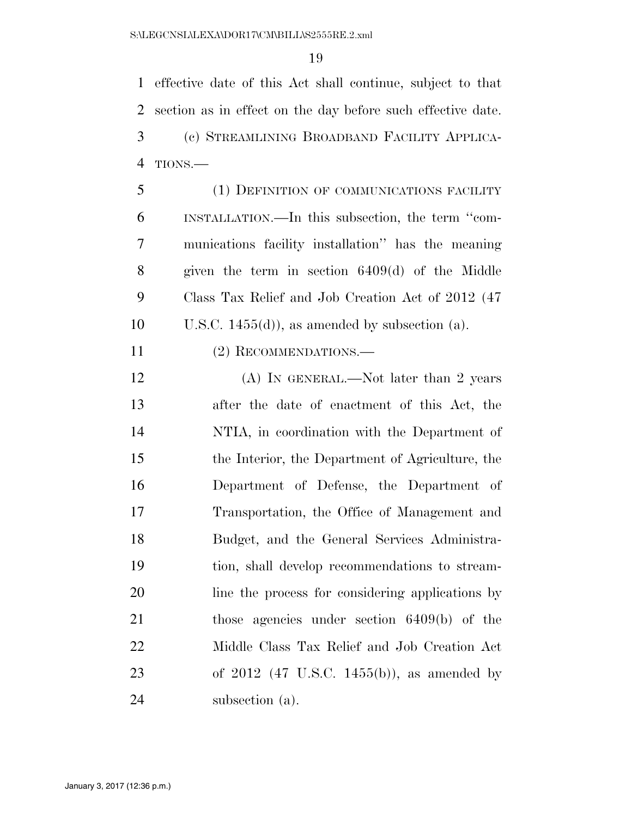effective date of this Act shall continue, subject to that section as in effect on the day before such effective date. (c) STREAMLINING BROADBAND FACILITY APPLICA-TIONS.—

 (1) DEFINITION OF COMMUNICATIONS FACILITY INSTALLATION.—In this subsection, the term ''com- munications facility installation'' has the meaning given the term in section 6409(d) of the Middle Class Tax Relief and Job Creation Act of 2012 (47 10 U.S.C. 1455(d)), as amended by subsection (a).

(2) RECOMMENDATIONS.—

12 (A) IN GENERAL.—Not later than 2 years after the date of enactment of this Act, the NTIA, in coordination with the Department of the Interior, the Department of Agriculture, the Department of Defense, the Department of Transportation, the Office of Management and Budget, and the General Services Administra- tion, shall develop recommendations to stream- line the process for considering applications by those agencies under section 6409(b) of the Middle Class Tax Relief and Job Creation Act of 2012 (47 U.S.C. 1455(b)), as amended by subsection (a).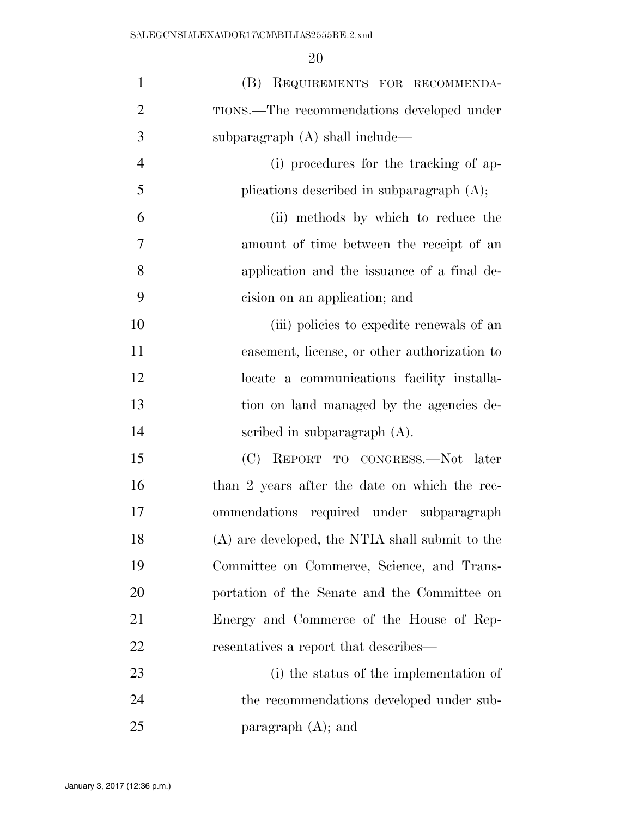| $\mathbf{1}$   | (B) REQUIREMENTS FOR RECOMMENDA-                |
|----------------|-------------------------------------------------|
| $\overline{2}$ | TIONS.—The recommendations developed under      |
| 3              | subparagraph (A) shall include—                 |
| $\overline{4}$ | (i) procedures for the tracking of ap-          |
| 5              | plications described in subparagraph $(A)$ ;    |
| 6              | (ii) methods by which to reduce the             |
| 7              | amount of time between the receipt of an        |
| 8              | application and the issuance of a final de-     |
| 9              | cision on an application; and                   |
| 10             | (iii) policies to expedite renewals of an       |
| 11             | easement, license, or other authorization to    |
| 12             | locate a communications facility installa-      |
| 13             | tion on land managed by the agencies de-        |
| 14             | scribed in subparagraph $(A)$ .                 |
| 15             | (C) REPORT TO CONGRESS.—Not later               |
| 16             | than 2 years after the date on which the rec-   |
| 17             | ommendations required under subparagraph        |
| 18             | (A) are developed, the NTIA shall submit to the |
| 19             | Committee on Commerce, Science, and Trans-      |
| 20             | portation of the Senate and the Committee on    |
| 21             | Energy and Commerce of the House of Rep-        |
| 22             | resentatives a report that describes—           |
| 23             | (i) the status of the implementation of         |
| 24             | the recommendations developed under sub-        |
| 25             | paragraph $(A)$ ; and                           |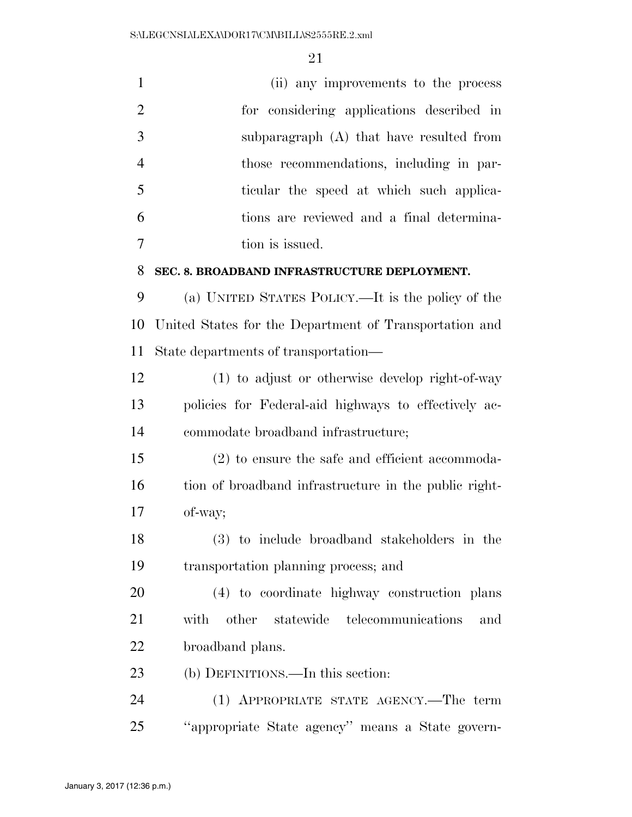| $\mathbf{1}$   | (ii) any improvements to the process                   |
|----------------|--------------------------------------------------------|
| $\overline{2}$ | for considering applications described in              |
| 3              | subparagraph (A) that have resulted from               |
| $\overline{4}$ | those recommendations, including in par-               |
| 5              | ticular the speed at which such applica-               |
| 6              | tions are reviewed and a final determina-              |
| 7              | tion is issued.                                        |
| 8              | SEC. 8. BROADBAND INFRASTRUCTURE DEPLOYMENT.           |
| 9              | (a) UNITED STATES POLICY.—It is the policy of the      |
| 10             | United States for the Department of Transportation and |
| 11             | State departments of transportation—                   |
| 12             | $(1)$ to adjust or otherwise develop right-of-way      |
| 13             | policies for Federal-aid highways to effectively ac-   |
| 14             | commodate broadband infrastructure;                    |
| 15             | $(2)$ to ensure the safe and efficient accommoda-      |
| 16             | tion of broadband infrastructure in the public right-  |
| 17             | of-way;                                                |
| 18             | (3) to include broadband stakeholders in the           |
| 19             | transportation planning process; and                   |
| 20             | (4) to coordinate highway construction plans           |
| 21             | other statewide telecommunications<br>with<br>and      |
| 22             | broadband plans.                                       |
| 23             | (b) DEFINITIONS.—In this section:                      |
| 24             | (1) APPROPRIATE STATE AGENCY.—The term                 |
| 25             | "appropriate State agency" means a State govern-       |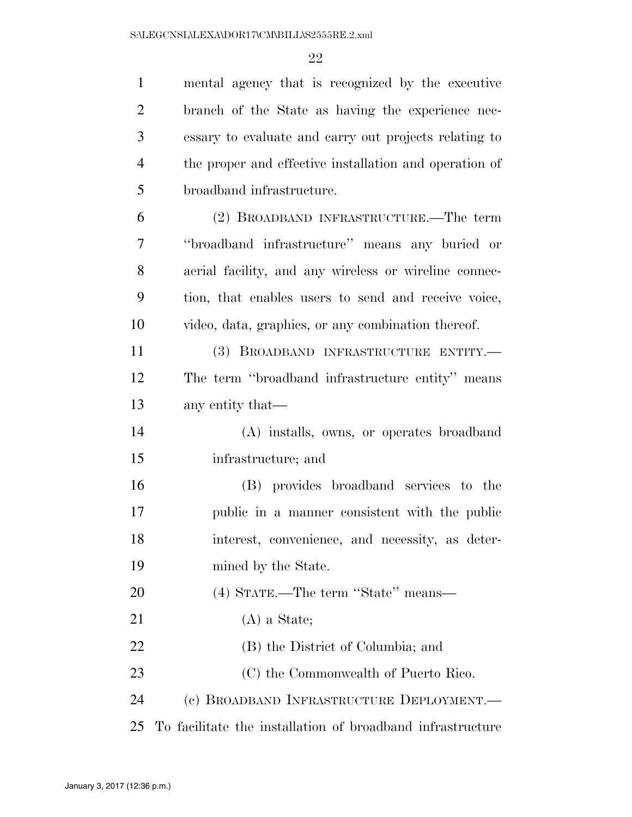| $\mathbf{1}$   | mental agency that is recognized by the executive          |
|----------------|------------------------------------------------------------|
| $\overline{2}$ | branch of the State as having the experience nec-          |
| 3              | essary to evaluate and carry out projects relating to      |
| $\overline{4}$ | the proper and effective installation and operation of     |
| 5              | broadband infrastructure.                                  |
| 6              | (2) BROADBAND INFRASTRUCTURE.—The term                     |
| 7              | "broadband infrastructure" means any buried or             |
| 8              | aerial facility, and any wireless or wireline connec-      |
| 9              | tion, that enables users to send and receive voice,        |
| 10             | video, data, graphics, or any combination thereof.         |
| 11             | (3) BROADBAND INFRASTRUCTURE ENTITY.-                      |
| 12             | The term "broadband infrastructure entity" means           |
| 13             | any entity that—                                           |
| 14             | (A) installs, owns, or operates broadband                  |
| 15             | infrastructure; and                                        |
| 16             | (B) provides broadband services to the                     |
| 17             | public in a manner consistent with the public              |
| 18             | interest, convenience, and necessity, as deter-            |
| 19             | mined by the State.                                        |
| 20             | (4) STATE.—The term "State" means—                         |
| 21             | $(A)$ a State;                                             |
| 22             | (B) the District of Columbia; and                          |
| 23             | (C) the Commonwealth of Puerto Rico.                       |
| 24             | (c) BROADBAND INFRASTRUCTURE DEPLOYMENT.—                  |
| 25             | To facilitate the installation of broadband infrastructure |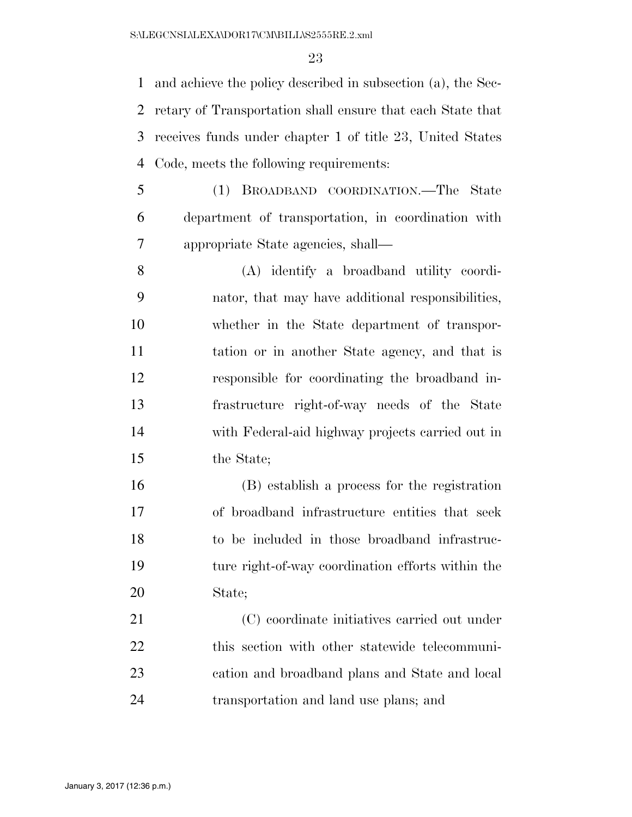and achieve the policy described in subsection (a), the Sec- retary of Transportation shall ensure that each State that receives funds under chapter 1 of title 23, United States Code, meets the following requirements:

- (1) BROADBAND COORDINATION.—The State department of transportation, in coordination with appropriate State agencies, shall—
- (A) identify a broadband utility coordi- nator, that may have additional responsibilities, whether in the State department of transpor- tation or in another State agency, and that is responsible for coordinating the broadband in- frastructure right-of-way needs of the State with Federal-aid highway projects carried out in the State;
- (B) establish a process for the registration of broadband infrastructure entities that seek to be included in those broadband infrastruc- ture right-of-way coordination efforts within the State;

 (C) coordinate initiatives carried out under this section with other statewide telecommuni- cation and broadband plans and State and local transportation and land use plans; and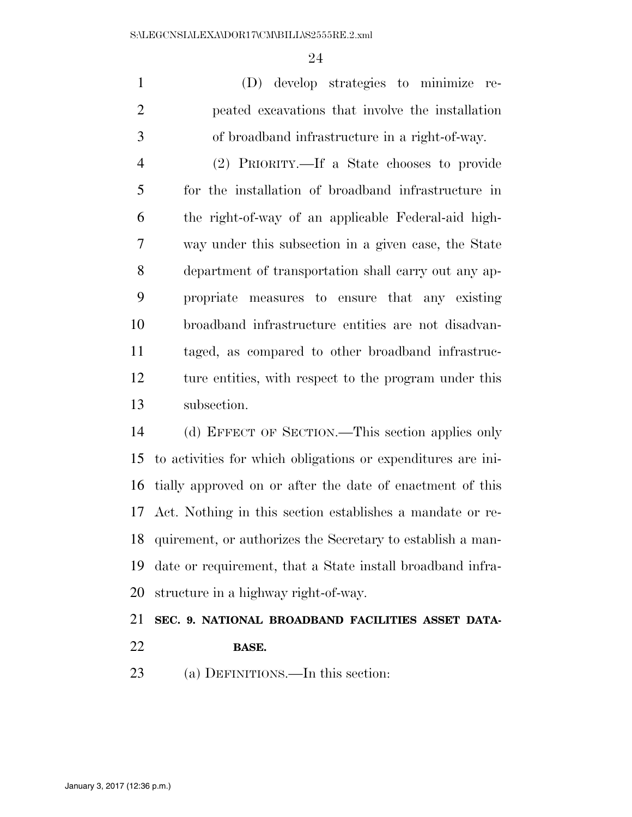(D) develop strategies to minimize re- peated excavations that involve the installation of broadband infrastructure in a right-of-way.

 (2) PRIORITY.—If a State chooses to provide for the installation of broadband infrastructure in the right-of-way of an applicable Federal-aid high- way under this subsection in a given case, the State department of transportation shall carry out any ap- propriate measures to ensure that any existing broadband infrastructure entities are not disadvan- taged, as compared to other broadband infrastruc-12 ture entities, with respect to the program under this subsection.

 (d) EFFECT OF SECTION.—This section applies only to activities for which obligations or expenditures are ini- tially approved on or after the date of enactment of this Act. Nothing in this section establishes a mandate or re- quirement, or authorizes the Secretary to establish a man- date or requirement, that a State install broadband infra-structure in a highway right-of-way.

### **SEC. 9. NATIONAL BROADBAND FACILITIES ASSET DATA-**

#### **BASE.**

(a) DEFINITIONS.—In this section: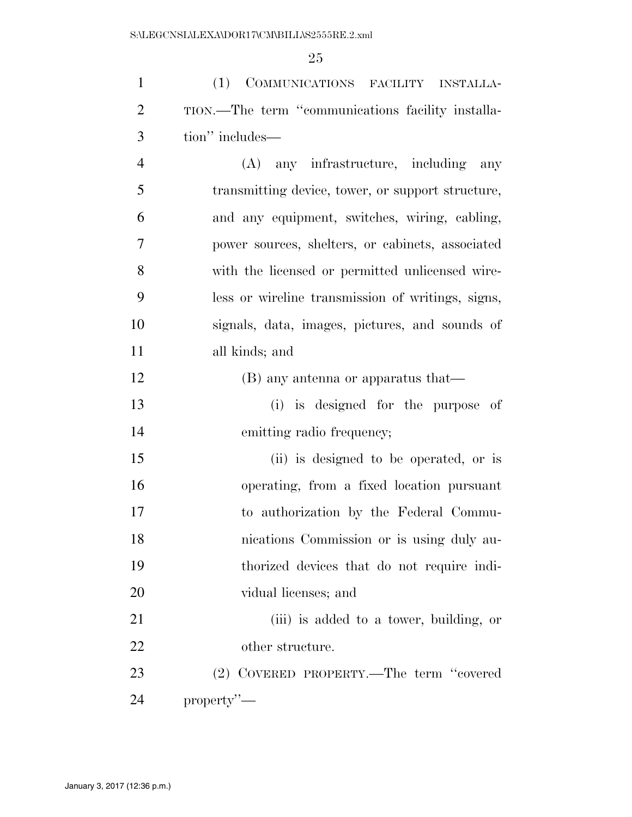(1) COMMUNICATIONS FACILITY INSTALLA- TION.—The term ''communications facility installa-tion'' includes—

 (A) any infrastructure, including any transmitting device, tower, or support structure, and any equipment, switches, wiring, cabling, power sources, shelters, or cabinets, associated with the licensed or permitted unlicensed wire- less or wireline transmission of writings, signs, signals, data, images, pictures, and sounds of all kinds; and

(B) any antenna or apparatus that—

 (i) is designed for the purpose of emitting radio frequency;

 (ii) is designed to be operated, or is operating, from a fixed location pursuant to authorization by the Federal Commu- nications Commission or is using duly au- thorized devices that do not require indi-vidual licenses; and

 (iii) is added to a tower, building, or other structure.

 (2) COVERED PROPERTY.—The term ''covered property''—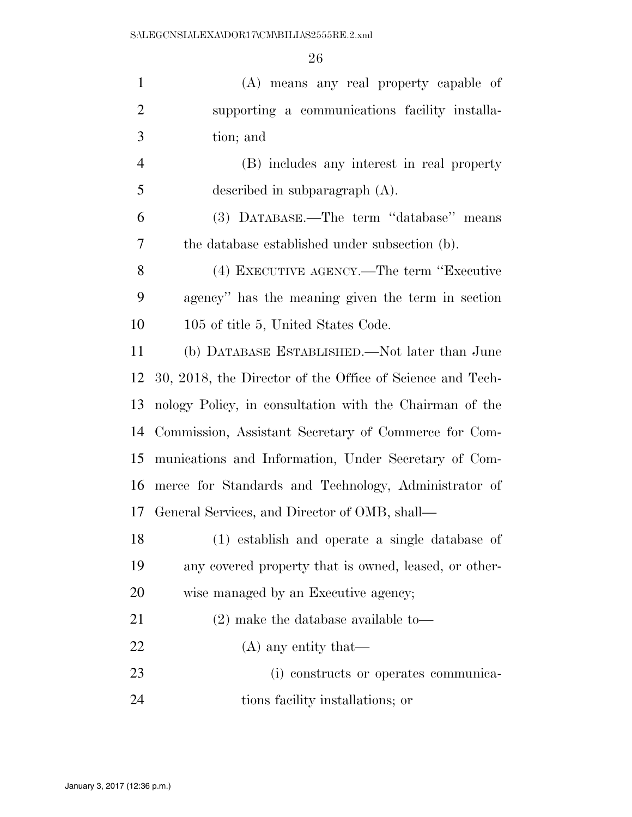| $\mathbf{1}$   | (A) means any real property capable of                    |
|----------------|-----------------------------------------------------------|
| $\overline{2}$ | supporting a communications facility installa-            |
| 3              | tion; and                                                 |
| $\overline{4}$ | (B) includes any interest in real property                |
| 5              | described in subparagraph $(A)$ .                         |
| 6              | (3) DATABASE.—The term "database" means                   |
| $\tau$         | the database established under subsection (b).            |
| 8              | (4) EXECUTIVE AGENCY.—The term "Executive                 |
| 9              | agency" has the meaning given the term in section         |
| 10             | 105 of title 5, United States Code.                       |
| 11             | (b) DATABASE ESTABLISHED.—Not later than June             |
| 12             | 30, 2018, the Director of the Office of Science and Tech- |
| 13             | nology Policy, in consultation with the Chairman of the   |
| 14             | Commission, Assistant Secretary of Commerce for Com-      |
| 15             | munications and Information, Under Secretary of Com-      |
| 16             | merce for Standards and Technology, Administrator of      |
| 17             | General Services, and Director of OMB, shall—             |
| 18             | (1) establish and operate a single database of            |
| 19             | any covered property that is owned, leased, or other-     |
| 20             | wise managed by an Executive agency;                      |
| 21             | $(2)$ make the database available to-                     |
| 22             | $(A)$ any entity that—                                    |
| 23             | (i) constructs or operates communica-                     |
| 24             | tions facility installations; or                          |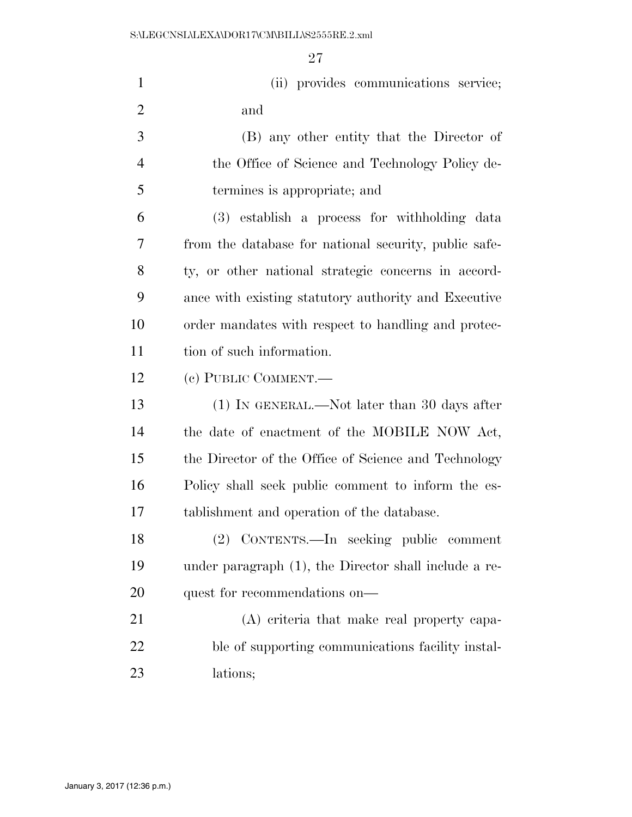| $\mathbf{1}$   | (ii) provides communications service;                 |
|----------------|-------------------------------------------------------|
| $\overline{2}$ | and                                                   |
| 3              | (B) any other entity that the Director of             |
| $\overline{4}$ | the Office of Science and Technology Policy de-       |
| 5              | termines is appropriate; and                          |
| 6              | (3) establish a process for withholding data          |
| 7              | from the database for national security, public safe- |
| 8              | ty, or other national strategic concerns in accord-   |
| 9              | ance with existing statutory authority and Executive  |
| 10             | order mandates with respect to handling and protec-   |
| 11             | tion of such information.                             |
| 12             | (c) PUBLIC COMMENT.                                   |
| 13             | $(1)$ In GENERAL.—Not later than 30 days after        |
| 14             | the date of enactment of the MOBILE NOW Act,          |
| 15             | the Director of the Office of Science and Technology  |
| 16             | Policy shall seek public comment to inform the es-    |
| 17             | tablishment and operation of the database.            |
| 18             | CONTENTS.—In seeking public comment<br>(2)            |
| 19             | under paragraph (1), the Director shall include a re- |
| 20             | quest for recommendations on—                         |
| 21             | (A) criteria that make real property capa-            |
| 22             | ble of supporting communications facility instal-     |
| 23             | lations;                                              |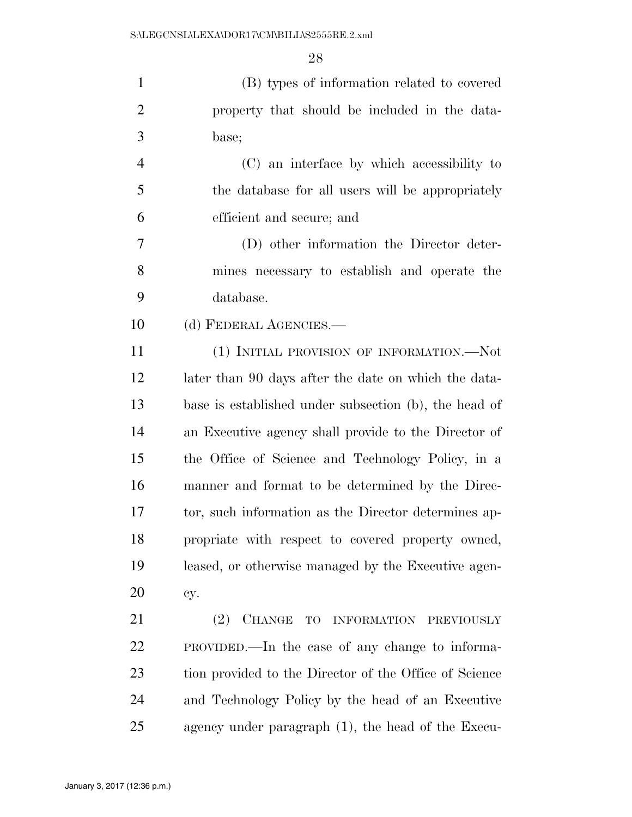(B) types of information related to covered property that should be included in the data- base; (C) an interface by which accessibility to the database for all users will be appropriately efficient and secure; and (D) other information the Director deter-

 mines necessary to establish and operate the database.

(d) FEDERAL AGENCIES.—

 (1) INITIAL PROVISION OF INFORMATION.—Not later than 90 days after the date on which the data- base is established under subsection (b), the head of an Executive agency shall provide to the Director of the Office of Science and Technology Policy, in a manner and format to be determined by the Direc- tor, such information as the Director determines ap- propriate with respect to covered property owned, leased, or otherwise managed by the Executive agen-cy.

 (2) CHANGE TO INFORMATION PREVIOUSLY PROVIDED.—In the case of any change to informa- tion provided to the Director of the Office of Science and Technology Policy by the head of an Executive agency under paragraph (1), the head of the Execu-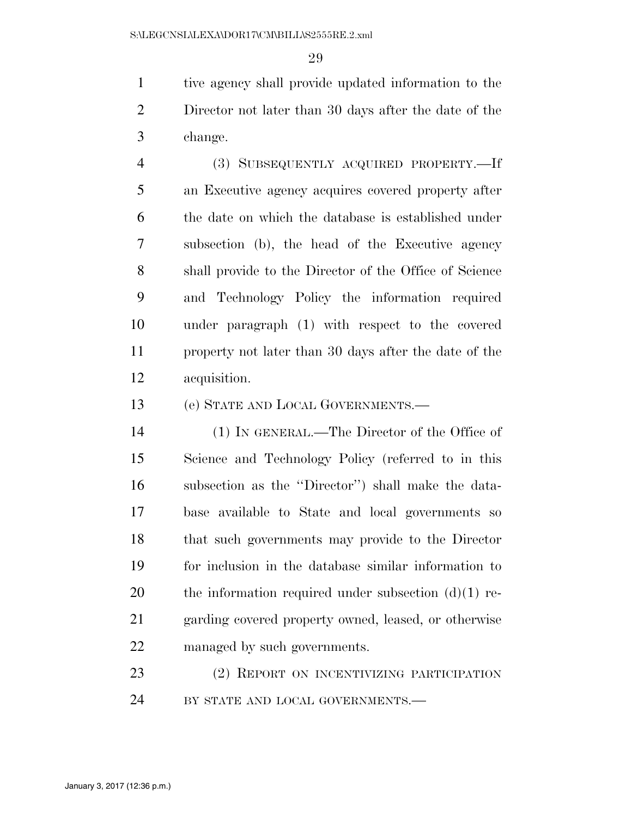tive agency shall provide updated information to the Director not later than 30 days after the date of the change.

 (3) SUBSEQUENTLY ACQUIRED PROPERTY.—If an Executive agency acquires covered property after the date on which the database is established under subsection (b), the head of the Executive agency shall provide to the Director of the Office of Science and Technology Policy the information required under paragraph (1) with respect to the covered property not later than 30 days after the date of the acquisition.

(e) STATE AND LOCAL GOVERNMENTS.—

 (1) IN GENERAL.—The Director of the Office of Science and Technology Policy (referred to in this subsection as the ''Director'') shall make the data- base available to State and local governments so that such governments may provide to the Director for inclusion in the database similar information to 20 the information required under subsection  $(d)(1)$  re- garding covered property owned, leased, or otherwise managed by such governments.

 (2) REPORT ON INCENTIVIZING PARTICIPATION 24 BY STATE AND LOCAL GOVERNMENTS.—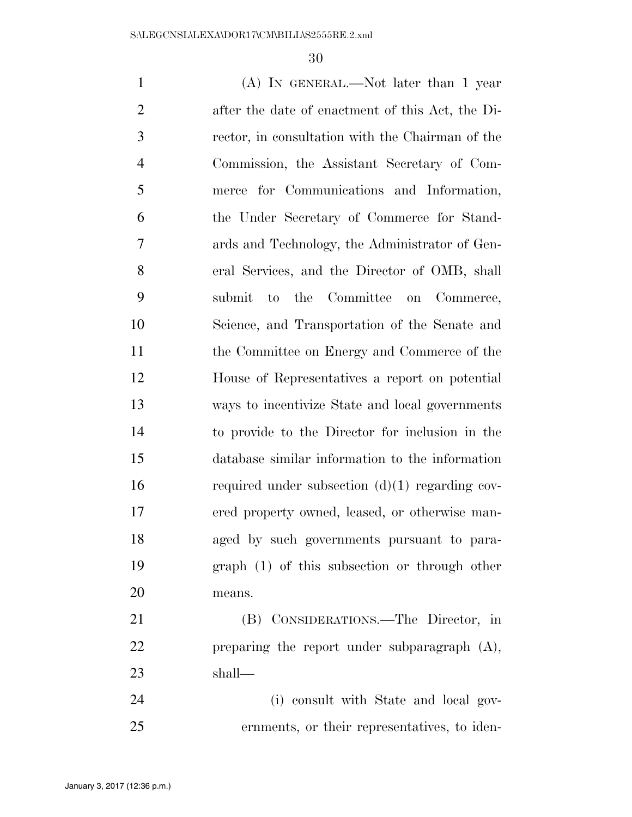(A) IN GENERAL.—Not later than 1 year after the date of enactment of this Act, the Di- rector, in consultation with the Chairman of the Commission, the Assistant Secretary of Com- merce for Communications and Information, the Under Secretary of Commerce for Stand- ards and Technology, the Administrator of Gen- eral Services, and the Director of OMB, shall submit to the Committee on Commerce, Science, and Transportation of the Senate and the Committee on Energy and Commerce of the House of Representatives a report on potential ways to incentivize State and local governments to provide to the Director for inclusion in the database similar information to the information required under subsection (d)(1) regarding cov- ered property owned, leased, or otherwise man- aged by such governments pursuant to para- graph (1) of this subsection or through other means. (B) CONSIDERATIONS.—The Director, in preparing the report under subparagraph (A),

shall—

 (i) consult with State and local gov-ernments, or their representatives, to iden-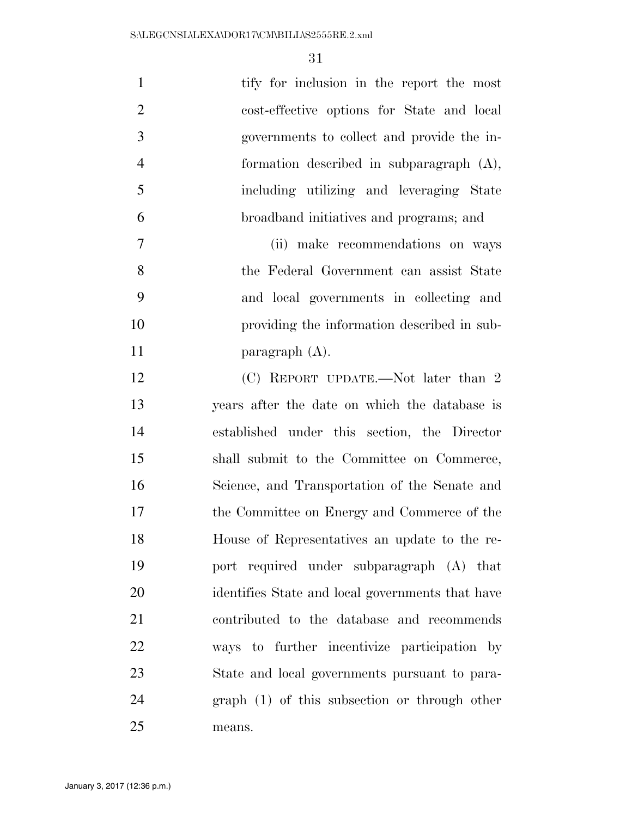| $\mathbf{1}$   | tify for inclusion in the report the most        |
|----------------|--------------------------------------------------|
| $\overline{2}$ | cost-effective options for State and local       |
| 3              | governments to collect and provide the in-       |
| $\overline{4}$ | formation described in subparagraph $(A)$ ,      |
| 5              | including utilizing and leveraging State         |
| 6              | broadband initiatives and programs; and          |
| 7              | (ii) make recommendations on ways                |
| 8              | the Federal Government can assist State          |
| 9              | and local governments in collecting and          |
| 10             | providing the information described in sub-      |
| 11             | paragraph $(A)$ .                                |
| 12             | (C) REPORT UPDATE.—Not later than 2              |
| 13             | years after the date on which the database is    |
| 14             | established under this section, the Director     |
| 15             | shall submit to the Committee on Commerce,       |
| 16             | Science, and Transportation of the Senate and    |
| 17             | the Committee on Energy and Commerce of the      |
| 18             | House of Representatives an update to the re-    |
| 19             | port required under subparagraph (A) that        |
| 20             | identifies State and local governments that have |
| 21             | contributed to the database and recommends       |
| 22             | ways to further incentivize participation by     |
| 23             | State and local governments pursuant to para-    |
| 24             | $graph(1)$ of this subsection or through other   |
| 25             | means.                                           |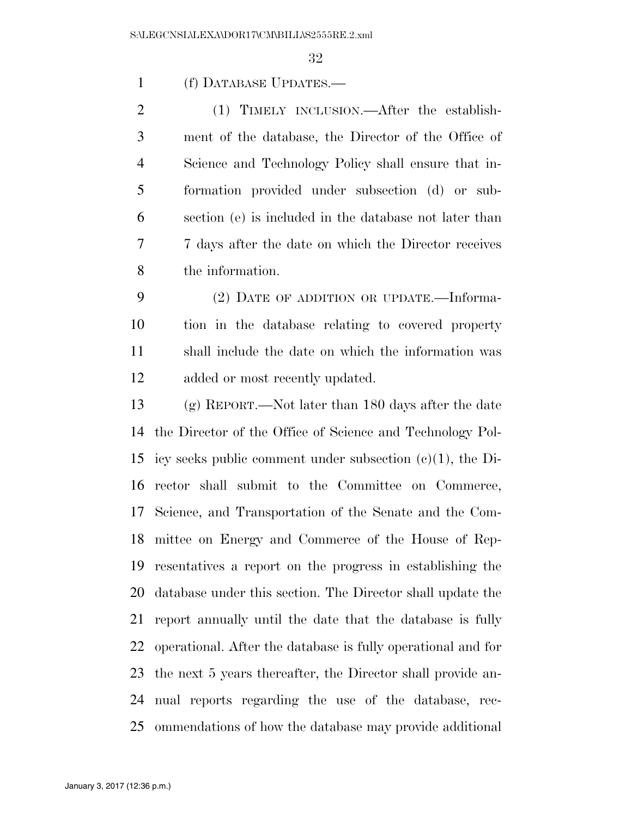(f) DATABASE UPDATES.—

2 (1) TIMELY INCLUSION.—After the establish- ment of the database, the Director of the Office of Science and Technology Policy shall ensure that in- formation provided under subsection (d) or sub- section (e) is included in the database not later than 7 days after the date on which the Director receives the information.

 (2) DATE OF ADDITION OR UPDATE.—Informa- tion in the database relating to covered property shall include the date on which the information was added or most recently updated.

 (g) REPORT.—Not later than 180 days after the date the Director of the Office of Science and Technology Pol- icy seeks public comment under subsection (c)(1), the Di- rector shall submit to the Committee on Commerce, Science, and Transportation of the Senate and the Com- mittee on Energy and Commerce of the House of Rep- resentatives a report on the progress in establishing the database under this section. The Director shall update the report annually until the date that the database is fully operational. After the database is fully operational and for the next 5 years thereafter, the Director shall provide an- nual reports regarding the use of the database, rec-ommendations of how the database may provide additional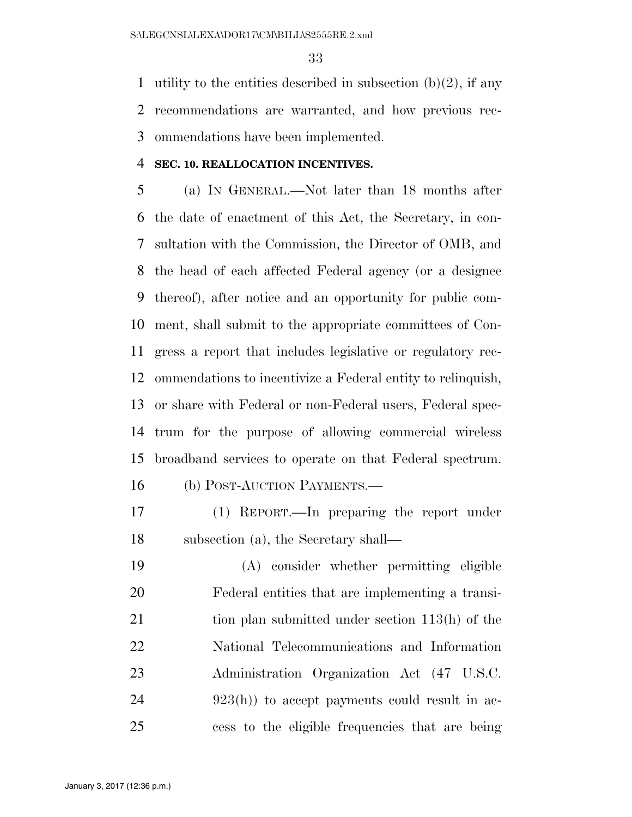1 utility to the entities described in subsection  $(b)(2)$ , if any recommendations are warranted, and how previous rec-ommendations have been implemented.

#### **SEC. 10. REALLOCATION INCENTIVES.**

 (a) IN GENERAL.—Not later than 18 months after the date of enactment of this Act, the Secretary, in con- sultation with the Commission, the Director of OMB, and the head of each affected Federal agency (or a designee thereof), after notice and an opportunity for public com- ment, shall submit to the appropriate committees of Con- gress a report that includes legislative or regulatory rec- ommendations to incentivize a Federal entity to relinquish, or share with Federal or non-Federal users, Federal spec- trum for the purpose of allowing commercial wireless broadband services to operate on that Federal spectrum.

(b) POST-AUCTION PAYMENTS.—

 (1) REPORT.—In preparing the report under subsection (a), the Secretary shall—

 (A) consider whether permitting eligible Federal entities that are implementing a transi-21 tion plan submitted under section 113(h) of the National Telecommunications and Information Administration Organization Act (47 U.S.C. 24 923(h)) to accept payments could result in ac-cess to the eligible frequencies that are being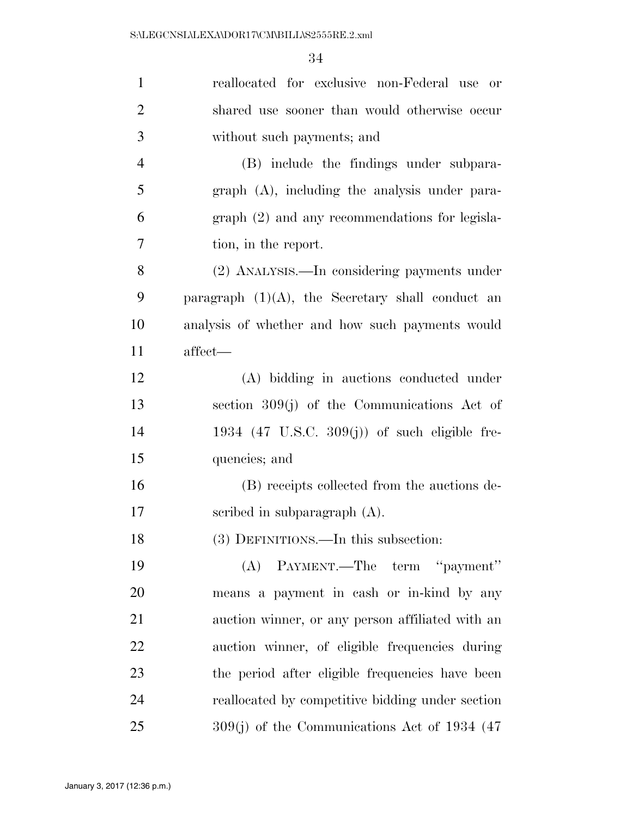| $\mathbf{1}$   | reallocated for exclusive non-Federal use or             |
|----------------|----------------------------------------------------------|
| $\overline{2}$ | shared use sooner than would otherwise occur             |
| 3              | without such payments; and                               |
| $\overline{4}$ | (B) include the findings under subpara-                  |
| 5              | graph (A), including the analysis under para-            |
| 6              | graph (2) and any recommendations for legisla-           |
| 7              | tion, in the report.                                     |
| 8              | (2) ANALYSIS.—In considering payments under              |
| 9              | paragraph $(1)(A)$ , the Secretary shall conduct an      |
| 10             | analysis of whether and how such payments would          |
| 11             | affect—                                                  |
| 12             | (A) bidding in auctions conducted under                  |
| 13             | section $309(j)$ of the Communications Act of            |
| 14             | 1934 $(47 \text{ U.S.C. } 309(j))$ of such eligible fre- |
| 15             | quencies; and                                            |
| 16             | (B) receipts collected from the auctions de-             |
| $17\,$         | scribed in subparagraph $(A)$ .                          |
| 18             | (3) DEFINITIONS.—In this subsection:                     |
| 19             | (A) PAYMENT.—The term "payment"                          |
| 20             | means a payment in cash or in-kind by any                |
| 21             | auction winner, or any person affiliated with an         |
| 22             | auction winner, of eligible frequencies during           |
| 23             | the period after eligible frequencies have been          |
| 24             | reallocated by competitive bidding under section         |
| 25             | $309(j)$ of the Communications Act of 1934 (47           |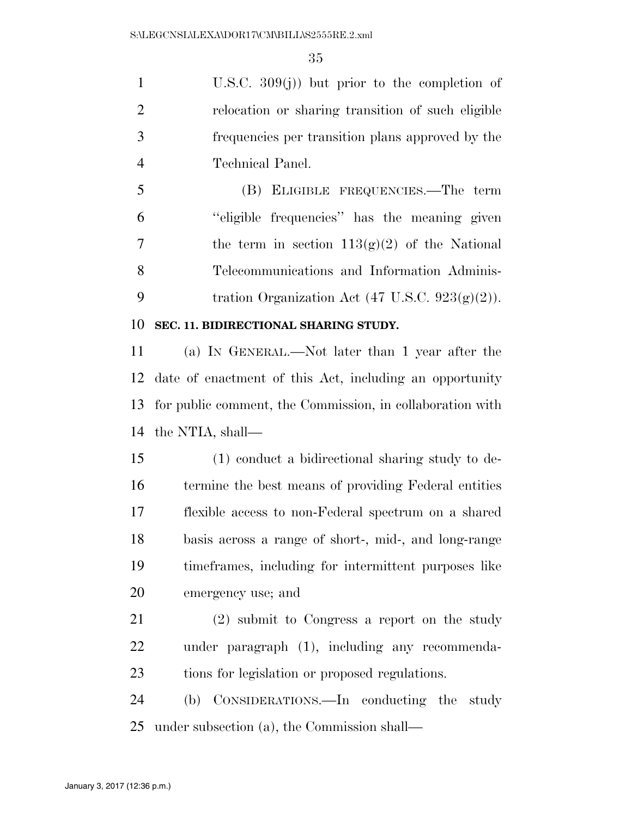U.S.C. 309(j)) but prior to the completion of relocation or sharing transition of such eligible frequencies per transition plans approved by the Technical Panel.

 (B) ELIGIBLE FREQUENCIES.—The term ''eligible frequencies'' has the meaning given 7 the term in section  $113(g)(2)$  of the National Telecommunications and Information Adminis-9 tration Organization Act  $(47 \text{ U.S.C. } 923(g)(2))$ .

#### **SEC. 11. BIDIRECTIONAL SHARING STUDY.**

 (a) IN GENERAL.—Not later than 1 year after the date of enactment of this Act, including an opportunity for public comment, the Commission, in collaboration with the NTIA, shall—

 (1) conduct a bidirectional sharing study to de- termine the best means of providing Federal entities flexible access to non-Federal spectrum on a shared basis across a range of short-, mid-, and long-range timeframes, including for intermittent purposes like emergency use; and

 (2) submit to Congress a report on the study under paragraph (1), including any recommenda-tions for legislation or proposed regulations.

 (b) CONSIDERATIONS.—In conducting the study under subsection (a), the Commission shall—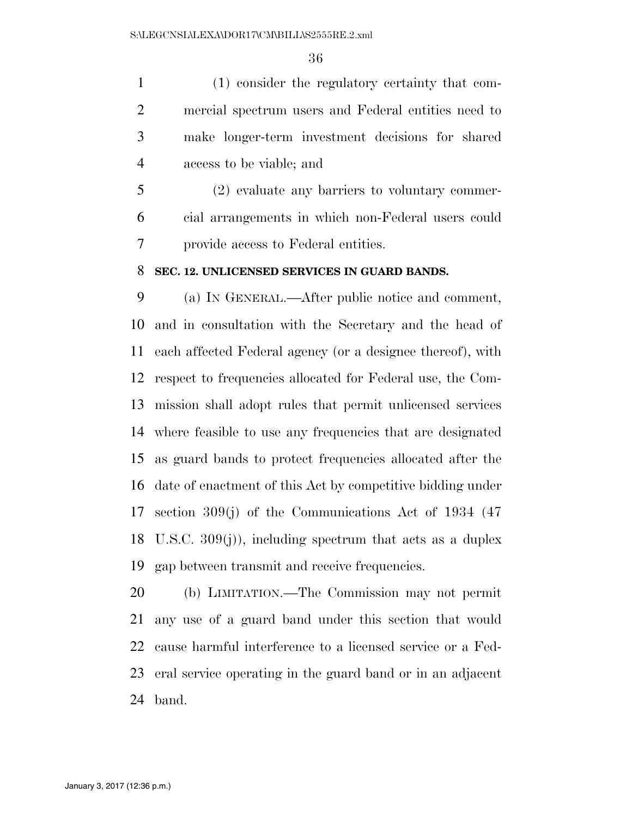(1) consider the regulatory certainty that com- mercial spectrum users and Federal entities need to make longer-term investment decisions for shared access to be viable; and

 (2) evaluate any barriers to voluntary commer- cial arrangements in which non-Federal users could provide access to Federal entities.

#### **SEC. 12. UNLICENSED SERVICES IN GUARD BANDS.**

 (a) IN GENERAL.—After public notice and comment, and in consultation with the Secretary and the head of each affected Federal agency (or a designee thereof), with respect to frequencies allocated for Federal use, the Com- mission shall adopt rules that permit unlicensed services where feasible to use any frequencies that are designated as guard bands to protect frequencies allocated after the date of enactment of this Act by competitive bidding under section 309(j) of the Communications Act of 1934 (47 U.S.C. 309(j)), including spectrum that acts as a duplex gap between transmit and receive frequencies.

 (b) LIMITATION.—The Commission may not permit any use of a guard band under this section that would cause harmful interference to a licensed service or a Fed- eral service operating in the guard band or in an adjacent band.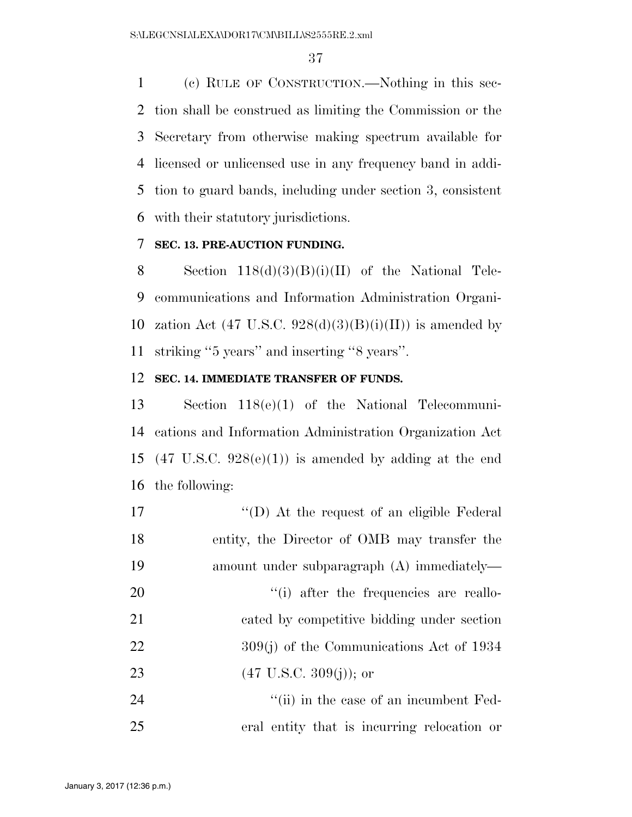(c) RULE OF CONSTRUCTION.—Nothing in this sec- tion shall be construed as limiting the Commission or the Secretary from otherwise making spectrum available for licensed or unlicensed use in any frequency band in addi- tion to guard bands, including under section 3, consistent with their statutory jurisdictions.

#### **SEC. 13. PRE-AUCTION FUNDING.**

8 Section  $118(d)(3)(B)(i)(II)$  of the National Tele- communications and Information Administration Organi-10 zation Act (47 U.S.C.  $928(d)(3)(B)(i)(II)$ ) is amended by striking ''5 years'' and inserting ''8 years''.

#### **SEC. 14. IMMEDIATE TRANSFER OF FUNDS.**

 Section 118(e)(1) of the National Telecommuni- cations and Information Administration Organization Act 15 (47 U.S.C.  $928(e)(1)$ ) is amended by adding at the end the following:

| 17 | $\lq\lq$ . At the request of an eligible Federal         |
|----|----------------------------------------------------------|
| 18 | entity, the Director of OMB may transfer the             |
| 19 | amount under subparagraph (A) immediately—               |
| 20 | "(i) after the frequencies are reallo-                   |
| 21 | cated by competitive bidding under section               |
| 22 | $309(j)$ of the Communications Act of 1934               |
| 23 | $(47 \text{ U.S.C. } 309(j))$ ; or                       |
| 24 | $\lq$ <sup>"</sup> (ii) in the case of an incumbent Fed- |
|    |                                                          |

eral entity that is incurring relocation or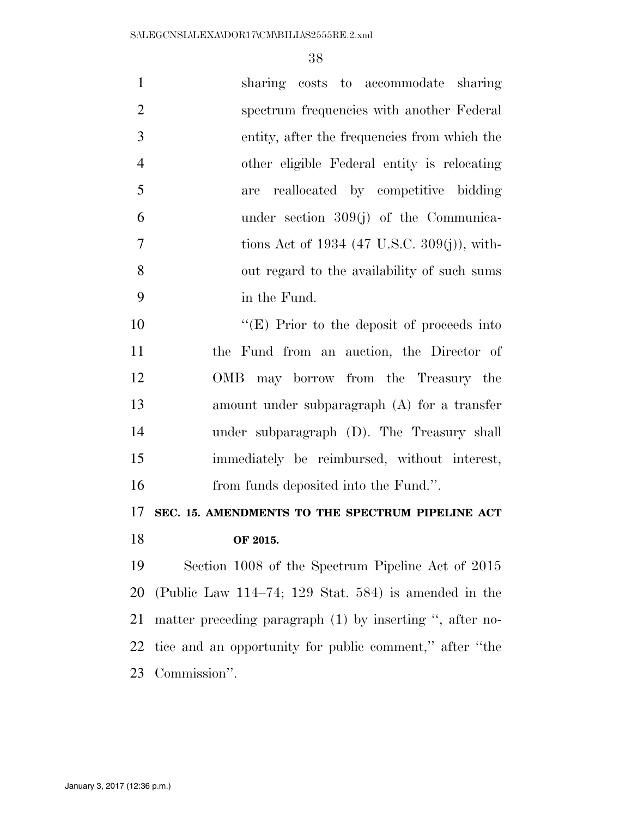| $\mathbf{1}$   | sharing costs to accommodate sharing                     |
|----------------|----------------------------------------------------------|
| $\overline{2}$ | spectrum frequencies with another Federal                |
| 3              | entity, after the frequencies from which the             |
| $\overline{4}$ | other eligible Federal entity is relocating              |
| 5              | reallocated by competitive bidding<br>are                |
| 6              | under section $309(j)$ of the Communica-                 |
| $\overline{7}$ | tions Act of 1934 (47 U.S.C. 309(j)), with-              |
| 8              | out regard to the availability of such sums              |
| 9              | in the Fund.                                             |
| 10             | "(E) Prior to the deposit of proceeds into               |
| 11             | the Fund from an auction, the Director of                |
| 12             | OMB may borrow from the Treasury the                     |
| 13             | amount under subparagraph $(A)$ for a transfer           |
| 14             | under subparagraph (D). The Treasury shall               |
| 15             | immediately be reimbursed, without interest,             |
| 16             | from funds deposited into the Fund.".                    |
| 17             | SEC. 15. AMENDMENTS TO THE SPECTRUM PIPELINE ACT         |
| 18             | OF 2015.                                                 |
| 19             | Section 1008 of the Spectrum Pipeline Act of 2015        |
| 20             | (Public Law $114-74$ ; 129 Stat. 584) is amended in the  |
| 21             | matter preceding paragraph (1) by inserting ", after no- |
| 22             | tice and an opportunity for public comment," after "the  |
| 23             | Commission".                                             |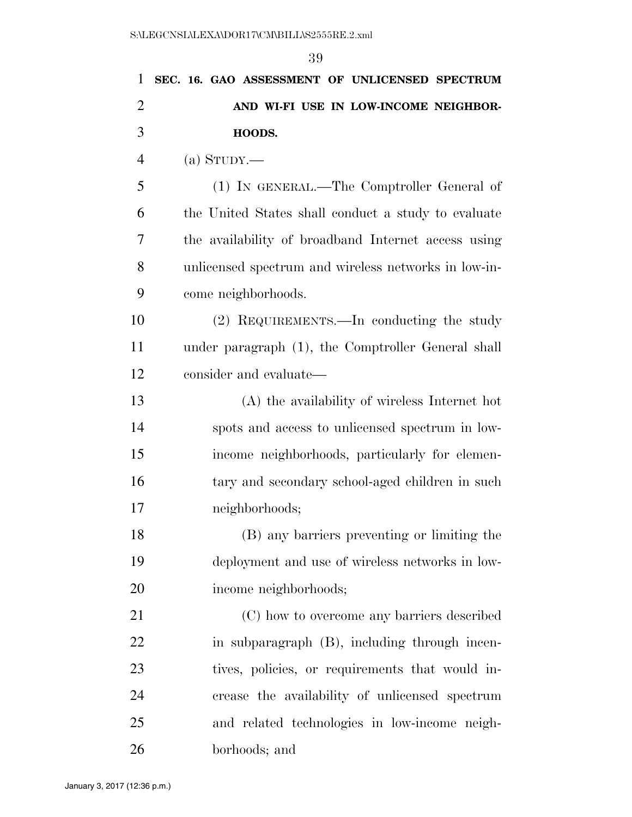|                | 39                                                   |
|----------------|------------------------------------------------------|
| $\mathbf{1}$   | SEC. 16. GAO ASSESSMENT OF UNLICENSED SPECTRUM       |
| $\overline{2}$ | AND WI-FI USE IN LOW-INCOME NEIGHBOR-                |
| 3              | HOODS.                                               |
| $\overline{4}$ | $(a)$ STUDY.—                                        |
| 5              | (1) IN GENERAL.—The Comptroller General of           |
| 6              | the United States shall conduct a study to evaluate  |
| 7              | the availability of broadband Internet access using  |
| 8              | unlicensed spectrum and wireless networks in low-in- |
| 9              | come neighborhoods.                                  |
| 10             | (2) REQUIREMENTS.—In conducting the study            |
| 11             | under paragraph (1), the Comptroller General shall   |
| 12             | consider and evaluate—                               |
| 13             | (A) the availability of wireless Internet hot        |
| 14             | spots and access to unlicensed spectrum in low-      |
| 15             | income neighborhoods, particularly for elemen-       |
| 16             | tary and secondary school-aged children in such      |
| 17             | neighborhoods;                                       |
| 18             | (B) any barriers preventing or limiting the          |
| 19             | deployment and use of wireless networks in low-      |
| 20             | income neighborhoods;                                |
| 21             | (C) how to overcome any barriers described           |
| 22             | in subparagraph (B), including through incen-        |
| 23             | tives, policies, or requirements that would in-      |
| 24             | crease the availability of unlicensed spectrum       |
| 25             | and related technologies in low-income neigh-        |
| 26             | borhoods; and                                        |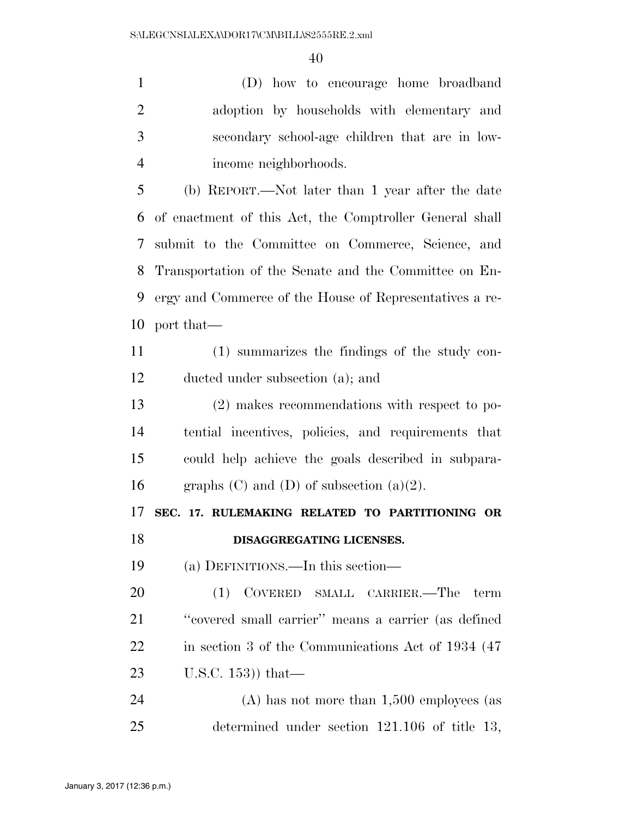(D) how to encourage home broadband adoption by households with elementary and secondary school-age children that are in low-income neighborhoods.

 (b) REPORT.—Not later than 1 year after the date of enactment of this Act, the Comptroller General shall submit to the Committee on Commerce, Science, and Transportation of the Senate and the Committee on En- ergy and Commerce of the House of Representatives a re-port that—

 (1) summarizes the findings of the study con-ducted under subsection (a); and

 (2) makes recommendations with respect to po- tential incentives, policies, and requirements that could help achieve the goals described in subpara-16 graphs  $(C)$  and  $(D)$  of subsection  $(a)(2)$ .

# **SEC. 17. RULEMAKING RELATED TO PARTITIONING OR**

### **DISAGGREGATING LICENSES.**

(a) DEFINITIONS.—In this section—

 (1) COVERED SMALL CARRIER.—The term ''covered small carrier'' means a carrier (as defined 22 in section 3 of the Communications Act of 1934 (47) U.S.C. 153)) that—

 (A) has not more than 1,500 employees (as determined under section 121.106 of title 13,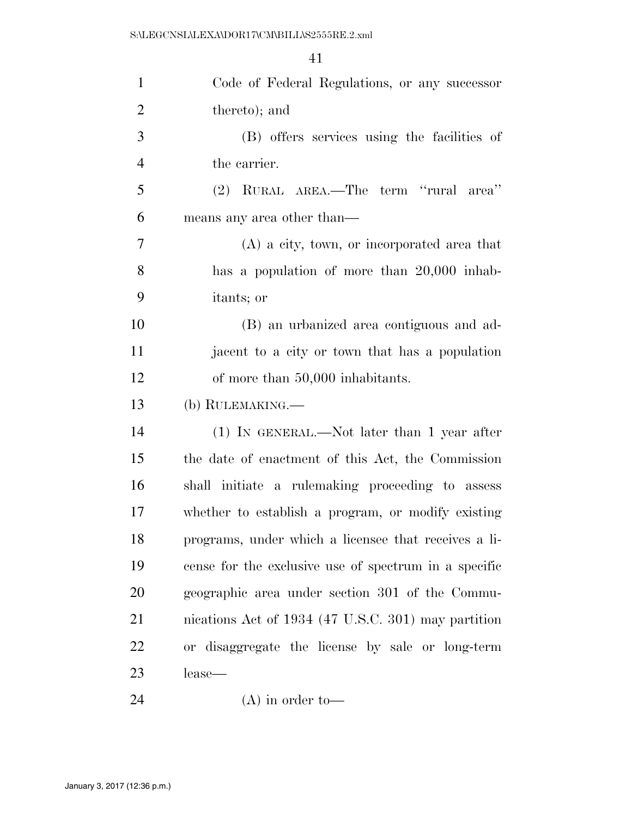| $\mathbf{1}$   | Code of Federal Regulations, or any successor         |
|----------------|-------------------------------------------------------|
| $\overline{2}$ | thereto); and                                         |
| 3              | (B) offers services using the facilities of           |
| $\overline{4}$ | the carrier.                                          |
| 5              | (2) RURAL AREA.—The term "rural area"                 |
| 6              | means any area other than—                            |
| 7              | $(A)$ a city, town, or incorporated area that         |
| 8              | has a population of more than 20,000 inhab-           |
| 9              | itants; or                                            |
| 10             | (B) an urbanized area contiguous and ad-              |
| 11             | jacent to a city or town that has a population        |
| 12             | of more than 50,000 inhabitants.                      |
| 13             | (b) RULEMAKING.—                                      |
| 14             | $(1)$ In GENERAL.—Not later than 1 year after         |
| 15             | the date of enactment of this Act, the Commission     |
| 16             | shall initiate a rulemaking proceeding to assess      |
| 17             | whether to establish a program, or modify existing    |
| 18             | programs, under which a licensee that receives a li-  |
| 19             | cense for the exclusive use of spectrum in a specific |
| 20             | geographic area under section 301 of the Commu-       |
| 21             | nications Act of 1934 (47 U.S.C. 301) may partition   |
| 22             | or disaggregate the license by sale or long-term      |
| 23             | lease—                                                |
| 24             | $(A)$ in order to-                                    |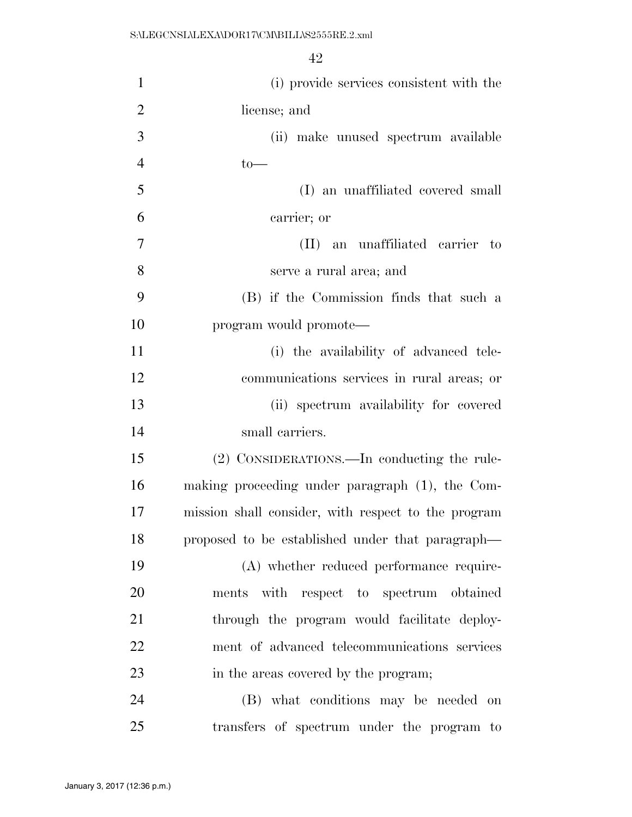| $\mathbf{1}$   | (i) provide services consistent with the            |
|----------------|-----------------------------------------------------|
| $\overline{2}$ | license; and                                        |
| 3              | (ii) make unused spectrum available                 |
| $\overline{4}$ | $to-$                                               |
| 5              | (I) an unaffiliated covered small                   |
| 6              | carrier; or                                         |
| $\overline{7}$ | (II) an unaffiliated carrier to                     |
| 8              | serve a rural area; and                             |
| 9              | (B) if the Commission finds that such a             |
| 10             | program would promote—                              |
| 11             | (i) the availability of advanced tele-              |
| 12             | communications services in rural areas; or          |
| 13             | (ii) spectrum availability for covered              |
| 14             | small carriers.                                     |
| 15             | (2) CONSIDERATIONS.—In conducting the rule-         |
| 16             | making proceeding under paragraph (1), the Com-     |
| 17             | mission shall consider, with respect to the program |
| 18             | proposed to be established under that paragraph—    |
| 19             | (A) whether reduced performance require-            |
| 20             | ments with respect to spectrum obtained             |
| 21             | through the program would facilitate deploy-        |
| 22             | ment of advanced telecommunications services        |
| 23             | in the areas covered by the program;                |
| 24             | (B) what conditions may be needed on                |
| 25             | transfers of spectrum under the program to          |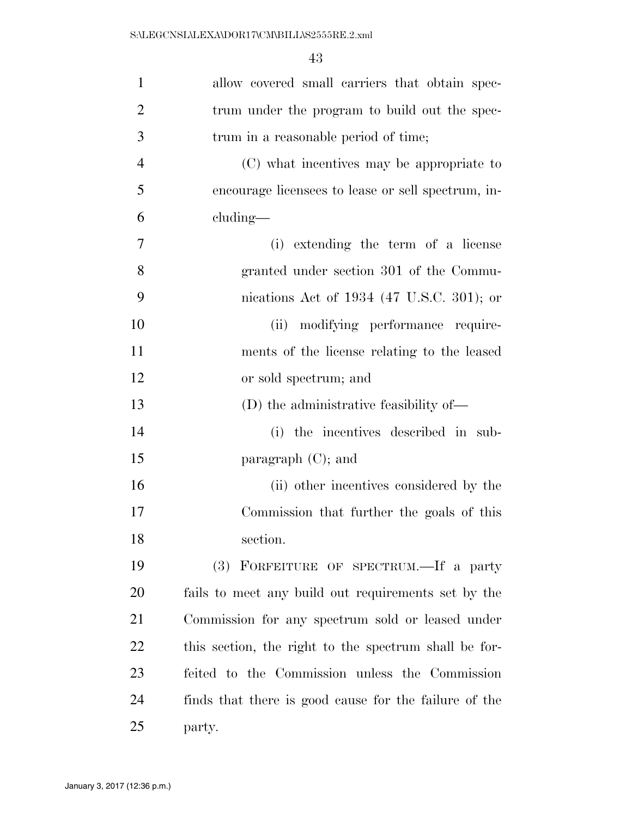| $\mathbf{1}$   | allow covered small carriers that obtain spec-        |
|----------------|-------------------------------------------------------|
| $\overline{2}$ | trum under the program to build out the spec-         |
| 3              | trum in a reasonable period of time;                  |
| $\overline{4}$ | (C) what incentives may be appropriate to             |
| 5              | encourage licensees to lease or sell spectrum, in-    |
| 6              | cluding—                                              |
| 7              | (i) extending the term of a license                   |
| 8              | granted under section 301 of the Commu-               |
| 9              | nications Act of $1934$ (47 U.S.C. 301); or           |
| 10             | (ii) modifying performance require-                   |
| 11             | ments of the license relating to the leased           |
| 12             | or sold spectrum; and                                 |
| 13             | (D) the administrative feasibility of—                |
| 14             | (i) the incentives described in sub-                  |
| 15             | paragraph $(C)$ ; and                                 |
| 16             | (ii) other incentives considered by the               |
| 17             | Commission that further the goals of this             |
| 18             | section.                                              |
| 19             | (3) FORFEITURE OF SPECTRUM.—If a party                |
| <b>20</b>      | fails to meet any build out requirements set by the   |
| 21             | Commission for any spectrum sold or leased under      |
| 22             | this section, the right to the spectrum shall be for- |
| 23             | feited to the Commission unless the Commission        |
| 24             | finds that there is good cause for the failure of the |
| 25             | party.                                                |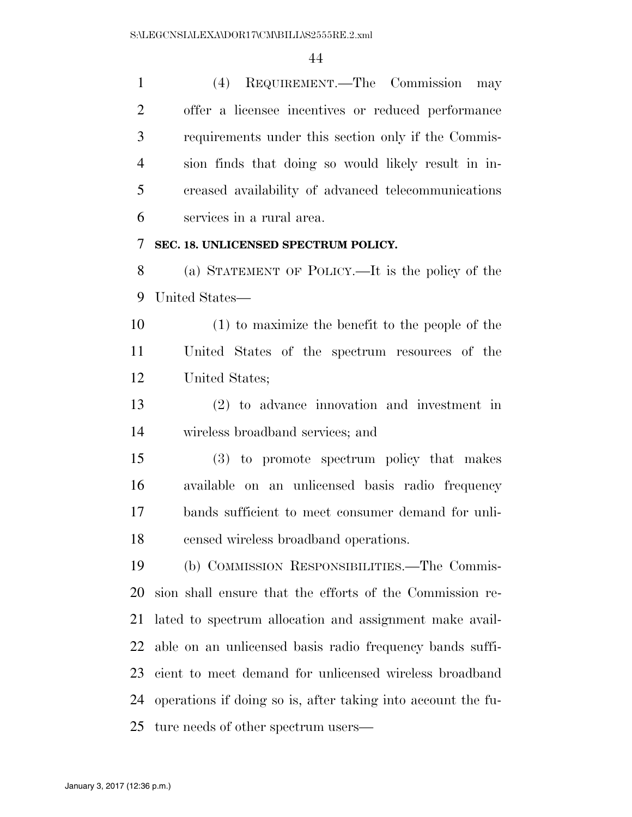(4) REQUIREMENT.—The Commission may offer a licensee incentives or reduced performance requirements under this section only if the Commis- sion finds that doing so would likely result in in- creased availability of advanced telecommunications services in a rural area.

#### **SEC. 18. UNLICENSED SPECTRUM POLICY.**

 (a) STATEMENT OF POLICY.—It is the policy of the United States—

 (1) to maximize the benefit to the people of the United States of the spectrum resources of the United States;

 (2) to advance innovation and investment in wireless broadband services; and

 (3) to promote spectrum policy that makes available on an unlicensed basis radio frequency bands sufficient to meet consumer demand for unli-censed wireless broadband operations.

 (b) COMMISSION RESPONSIBILITIES.—The Commis- sion shall ensure that the efforts of the Commission re- lated to spectrum allocation and assignment make avail- able on an unlicensed basis radio frequency bands suffi- cient to meet demand for unlicensed wireless broadband operations if doing so is, after taking into account the fu-ture needs of other spectrum users—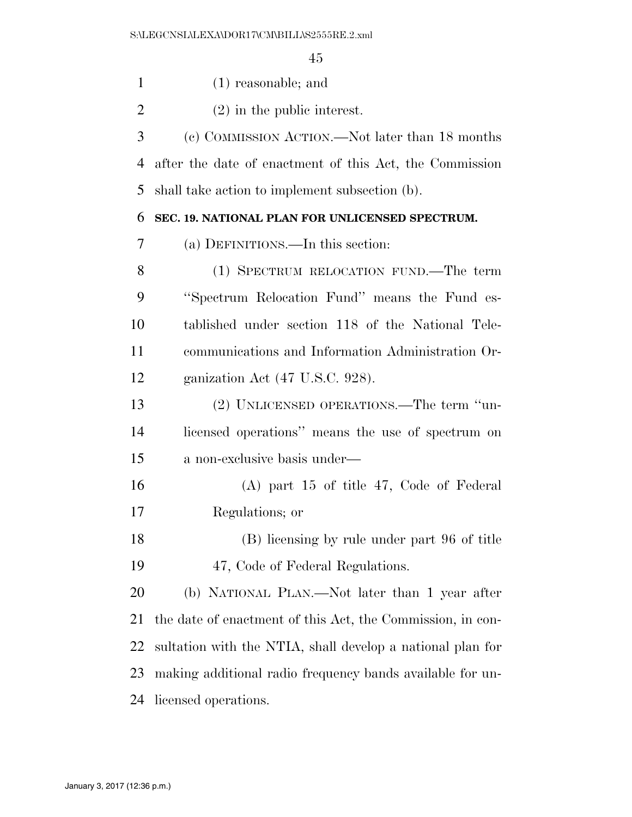(1) reasonable; and

(2) in the public interest.

 (c) COMMISSION ACTION.—Not later than 18 months after the date of enactment of this Act, the Commission shall take action to implement subsection (b).

#### **SEC. 19. NATIONAL PLAN FOR UNLICENSED SPECTRUM.**

(a) DEFINITIONS.—In this section:

 (1) SPECTRUM RELOCATION FUND.—The term ''Spectrum Relocation Fund'' means the Fund es- tablished under section 118 of the National Tele- communications and Information Administration Or-ganization Act (47 U.S.C. 928).

 (2) UNLICENSED OPERATIONS.—The term ''un- licensed operations'' means the use of spectrum on a non-exclusive basis under—

 (A) part 15 of title 47, Code of Federal Regulations; or

 (B) licensing by rule under part 96 of title 47, Code of Federal Regulations.

 (b) NATIONAL PLAN.—Not later than 1 year after the date of enactment of this Act, the Commission, in con- sultation with the NTIA, shall develop a national plan for making additional radio frequency bands available for un-licensed operations.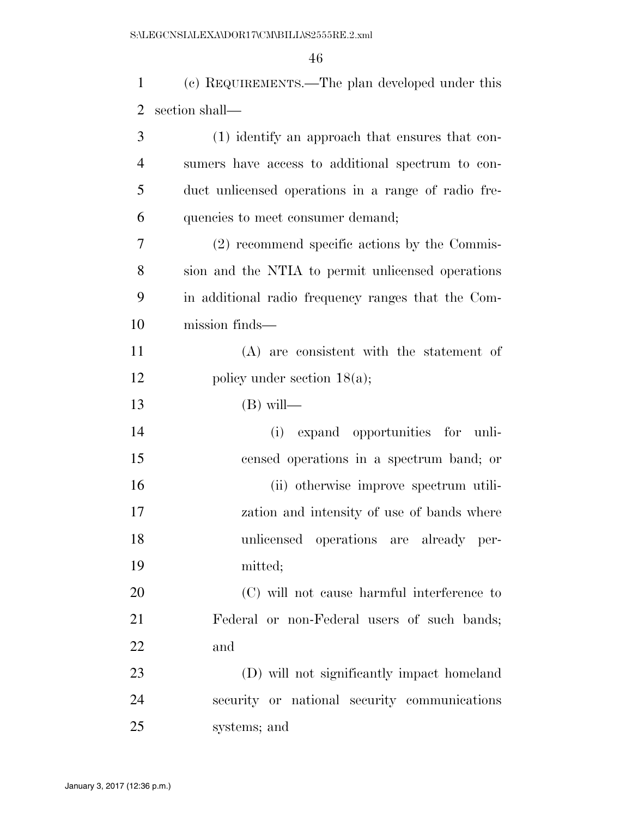(c) REQUIREMENTS.—The plan developed under this section shall—

| 3              | (1) identify an approach that ensures that con-     |
|----------------|-----------------------------------------------------|
| $\overline{4}$ | sumers have access to additional spectrum to con-   |
| 5              | duct unlicensed operations in a range of radio fre- |
| 6              | quencies to meet consumer demand;                   |
| 7              | (2) recommend specific actions by the Commis-       |
| 8              | sion and the NTIA to permit unlicensed operations   |
| 9              | in additional radio frequency ranges that the Com-  |
| 10             | mission finds—                                      |
| 11             | (A) are consistent with the statement of            |
| 12             | policy under section $18(a)$ ;                      |
| 13             | $(B)$ will—                                         |
| 14             | expand opportunities for unli-<br>(i)               |
| 15             | censed operations in a spectrum band; or            |
| 16             | (ii) otherwise improve spectrum utili-              |
| 17             | zation and intensity of use of bands where          |
| 18             | unlicensed operations are already per-              |
| 19             | mitted;                                             |
| 20             | (C) will not cause harmful interference to          |
| 21             | Federal or non-Federal users of such bands;         |
| 22             | and                                                 |
| 23             | (D) will not significantly impact homeland          |
| 24             | security or national security communications        |
| 25             | systems; and                                        |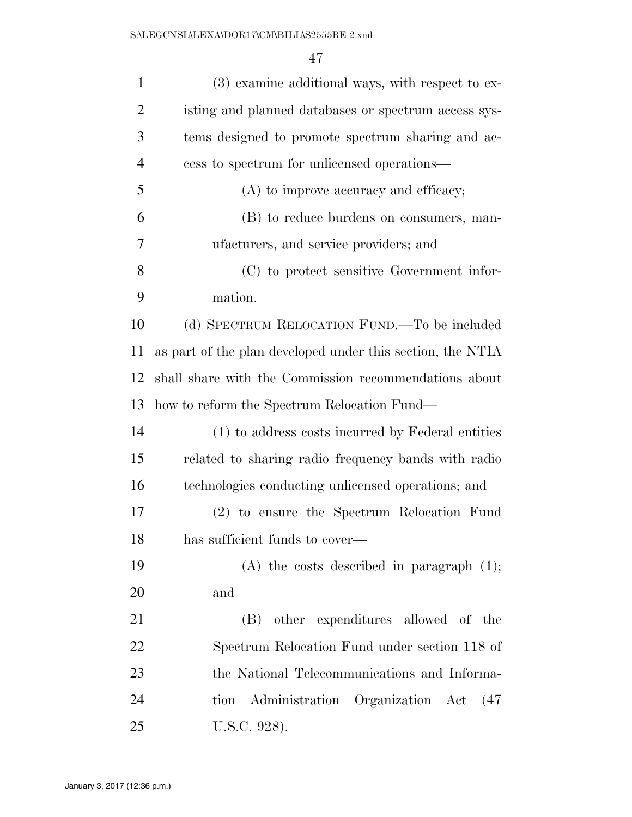| $\mathbf{1}$   | $(3)$ examine additional ways, with respect to ex-         |
|----------------|------------------------------------------------------------|
| $\overline{2}$ | isting and planned databases or spectrum access sys-       |
| 3              | tems designed to promote spectrum sharing and ac-          |
| $\overline{4}$ | cess to spectrum for unlicensed operations—                |
| 5              | (A) to improve accuracy and efficacy;                      |
| 6              | (B) to reduce burdens on consumers, man-                   |
| 7              | ufacturers, and service providers; and                     |
| 8              | (C) to protect sensitive Government infor-                 |
| 9              | mation.                                                    |
| 10             | (d) SPECTRUM RELOCATION FUND.—To be included               |
| 11             | as part of the plan developed under this section, the NTIA |
| 12             | shall share with the Commission recommendations about      |
| 13             | how to reform the Spectrum Relocation Fund—                |
| 14             | (1) to address costs incurred by Federal entities          |
| 15             | related to sharing radio frequency bands with radio        |
| 16             | technologies conducting unlicensed operations; and         |
| 17             | (2) to ensure the Spectrum Relocation Fund                 |
| 18             | has sufficient funds to cover—                             |
| 19             | $(A)$ the costs described in paragraph $(1)$ ;             |
| 20             | and                                                        |
| 21             | (B) other expenditures allowed of the                      |
| 22             | Spectrum Relocation Fund under section 118 of              |
| 23             | the National Telecommunications and Informa-               |
| 24             | tion Administration Organization Act<br>(47)               |
| 25             | U.S.C. 928).                                               |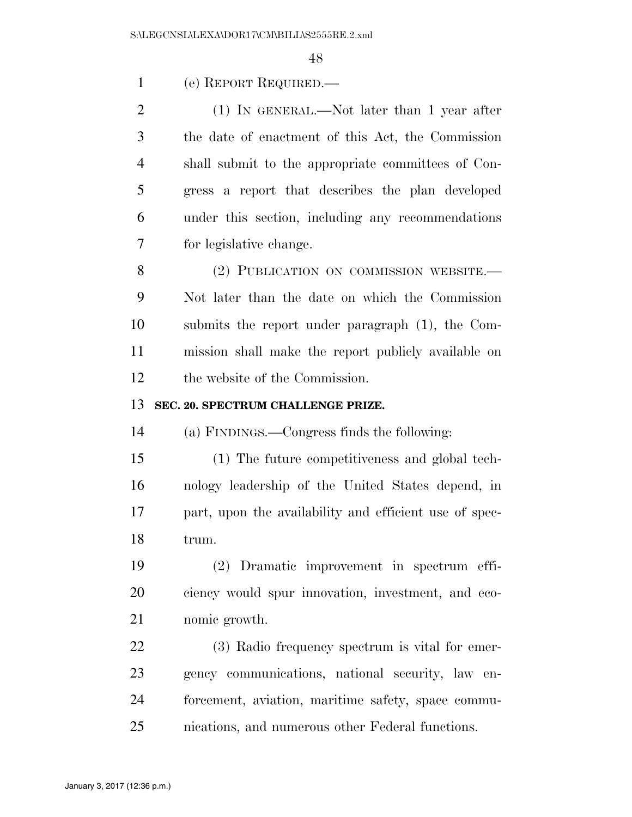(e) REPORT REQUIRED.—

 (1) IN GENERAL.—Not later than 1 year after the date of enactment of this Act, the Commission shall submit to the appropriate committees of Con- gress a report that describes the plan developed under this section, including any recommendations for legislative change.

8 (2) PUBLICATION ON COMMISSION WEBSITE. Not later than the date on which the Commission submits the report under paragraph (1), the Com- mission shall make the report publicly available on the website of the Commission.

#### **SEC. 20. SPECTRUM CHALLENGE PRIZE.**

(a) FINDINGS.—Congress finds the following:

 (1) The future competitiveness and global tech- nology leadership of the United States depend, in part, upon the availability and efficient use of spec-trum.

 (2) Dramatic improvement in spectrum effi- ciency would spur innovation, investment, and eco-nomic growth.

 (3) Radio frequency spectrum is vital for emer- gency communications, national security, law en- forcement, aviation, maritime safety, space commu-nications, and numerous other Federal functions.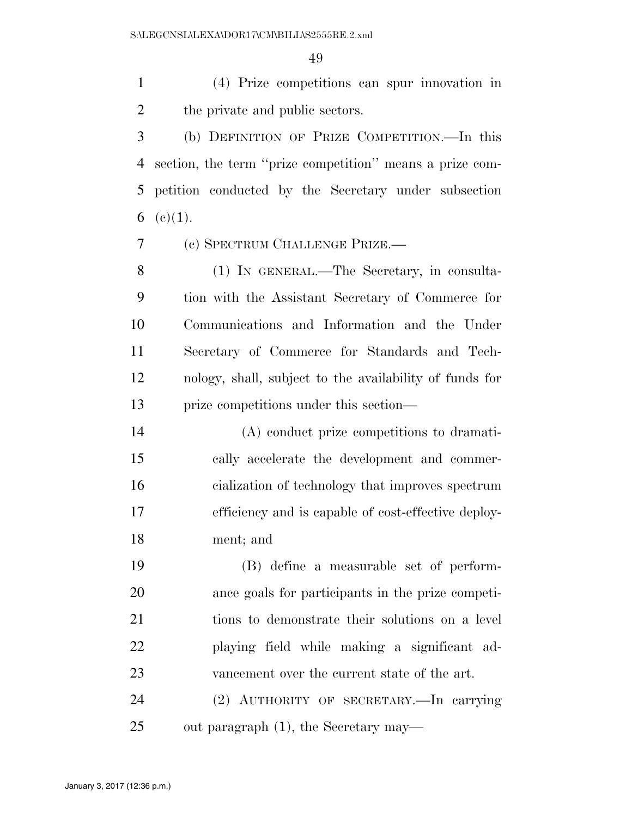(4) Prize competitions can spur innovation in the private and public sectors.

 (b) DEFINITION OF PRIZE COMPETITION.—In this section, the term ''prize competition'' means a prize com- petition conducted by the Secretary under subsection 6 (c) $(1)$ .

(c) SPECTRUM CHALLENGE PRIZE.—

 (1) IN GENERAL.—The Secretary, in consulta- tion with the Assistant Secretary of Commerce for Communications and Information and the Under Secretary of Commerce for Standards and Tech- nology, shall, subject to the availability of funds for prize competitions under this section—

 (A) conduct prize competitions to dramati- cally accelerate the development and commer- cialization of technology that improves spectrum efficiency and is capable of cost-effective deploy-ment; and

 (B) define a measurable set of perform- ance goals for participants in the prize competi- tions to demonstrate their solutions on a level playing field while making a significant ad-vancement over the current state of the art.

 (2) AUTHORITY OF SECRETARY.—In carrying out paragraph (1), the Secretary may—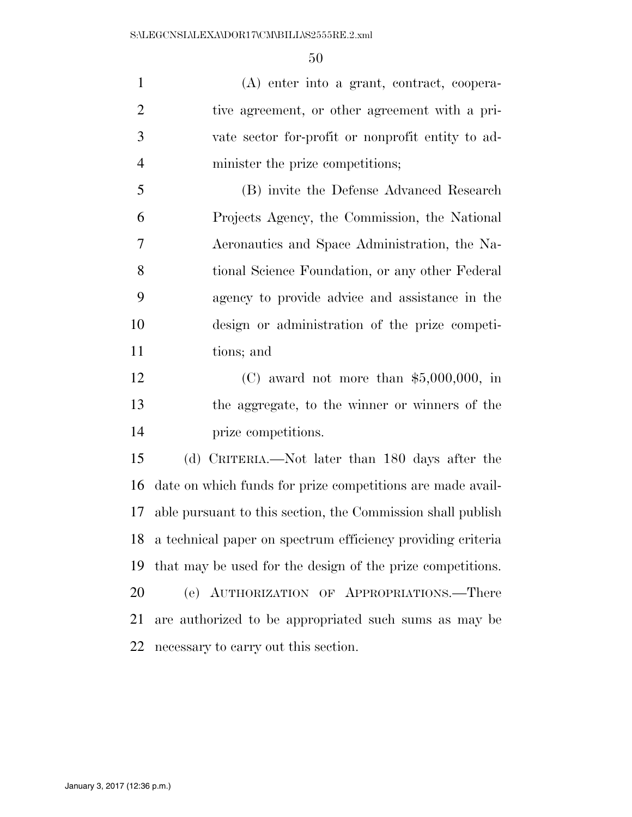(A) enter into a grant, contract, coopera- tive agreement, or other agreement with a pri- vate sector for-profit or nonprofit entity to ad-minister the prize competitions;

 (B) invite the Defense Advanced Research Projects Agency, the Commission, the National Aeronautics and Space Administration, the Na- tional Science Foundation, or any other Federal agency to provide advice and assistance in the design or administration of the prize competi-tions; and

 (C) award not more than \$5,000,000, in the aggregate, to the winner or winners of the prize competitions.

 (d) CRITERIA.—Not later than 180 days after the date on which funds for prize competitions are made avail- able pursuant to this section, the Commission shall publish a technical paper on spectrum efficiency providing criteria that may be used for the design of the prize competitions. (e) AUTHORIZATION OF APPROPRIATIONS.—There are authorized to be appropriated such sums as may be necessary to carry out this section.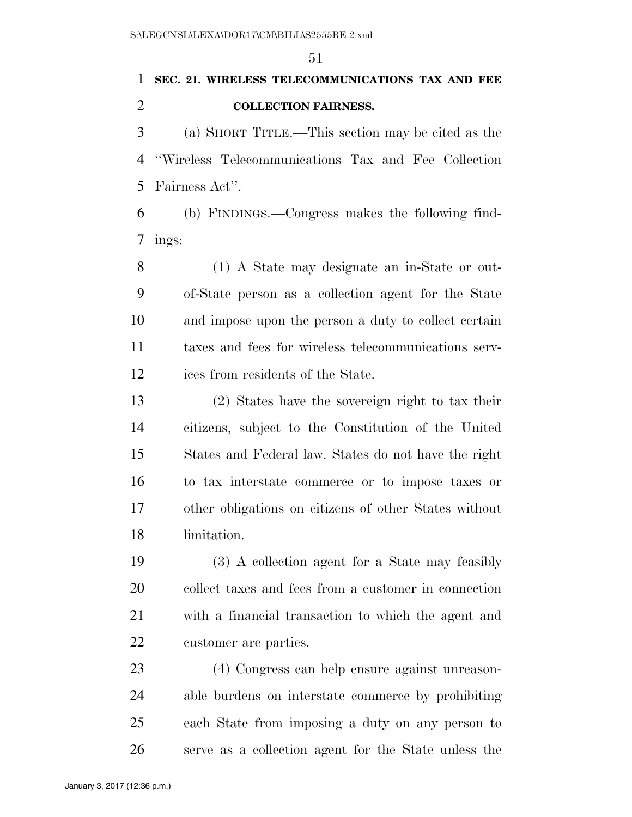## **SEC. 21. WIRELESS TELECOMMUNICATIONS TAX AND FEE COLLECTION FAIRNESS.**

 (a) SHORT TITLE.—This section may be cited as the ''Wireless Telecommunications Tax and Fee Collection Fairness Act''.

 (b) FINDINGS.—Congress makes the following find-ings:

 (1) A State may designate an in-State or out- of-State person as a collection agent for the State and impose upon the person a duty to collect certain taxes and fees for wireless telecommunications serv-ices from residents of the State.

 (2) States have the sovereign right to tax their citizens, subject to the Constitution of the United States and Federal law. States do not have the right to tax interstate commerce or to impose taxes or other obligations on citizens of other States without limitation.

 (3) A collection agent for a State may feasibly collect taxes and fees from a customer in connection with a financial transaction to which the agent and customer are parties.

 (4) Congress can help ensure against unreason- able burdens on interstate commerce by prohibiting each State from imposing a duty on any person to serve as a collection agent for the State unless the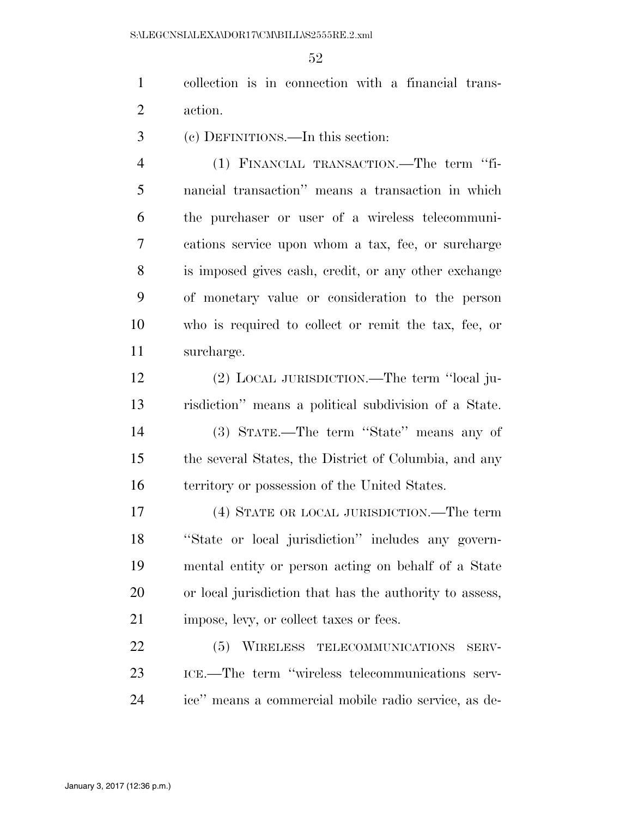collection is in connection with a financial trans-action.

(c) DEFINITIONS.—In this section:

 (1) FINANCIAL TRANSACTION.—The term ''fi- nancial transaction'' means a transaction in which the purchaser or user of a wireless telecommuni- cations service upon whom a tax, fee, or surcharge is imposed gives cash, credit, or any other exchange of monetary value or consideration to the person who is required to collect or remit the tax, fee, or surcharge.

 (2) LOCAL JURISDICTION.—The term ''local ju- risdiction'' means a political subdivision of a State. (3) STATE.—The term ''State'' means any of the several States, the District of Columbia, and any territory or possession of the United States.

 (4) STATE OR LOCAL JURISDICTION.—The term ''State or local jurisdiction'' includes any govern- mental entity or person acting on behalf of a State or local jurisdiction that has the authority to assess, 21 impose, levy, or collect taxes or fees.

 (5) WIRELESS TELECOMMUNICATIONS SERV- ICE.—The term ''wireless telecommunications serv-ice'' means a commercial mobile radio service, as de-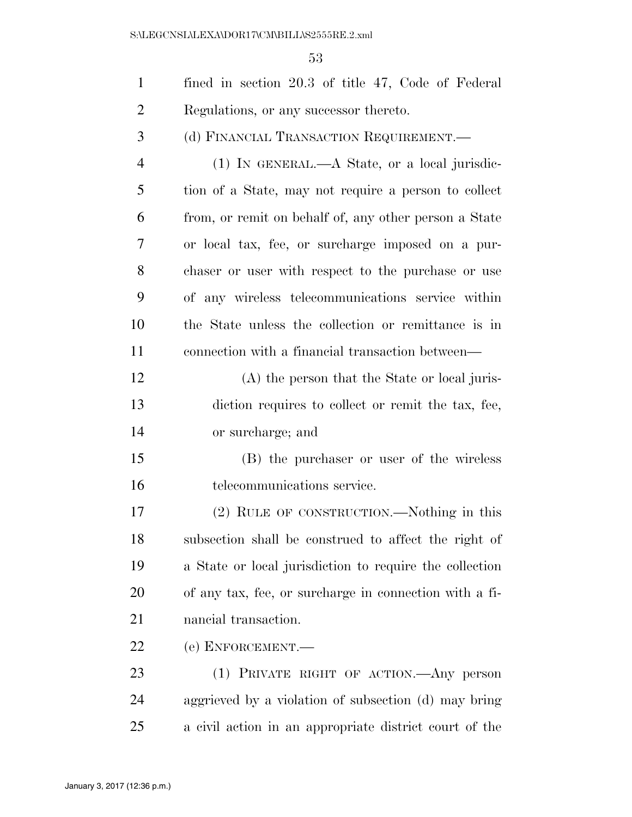| $\mathbf{1}$   | fined in section 20.3 of title 47, Code of Federal      |
|----------------|---------------------------------------------------------|
| $\overline{2}$ | Regulations, or any successor thereto.                  |
| 3              | (d) FINANCIAL TRANSACTION REQUIREMENT.                  |
| $\overline{4}$ | $(1)$ IN GENERAL.—A State, or a local jurisdic-         |
| 5              | tion of a State, may not require a person to collect    |
| 6              | from, or remit on behalf of, any other person a State   |
| 7              |                                                         |
|                | or local tax, fee, or surcharge imposed on a pur-       |
| 8              | chaser or user with respect to the purchase or use      |
| 9              | of any wireless telecommunications service within       |
| 10             | the State unless the collection or remittance is in     |
| 11             | connection with a financial transaction between—        |
| 12             | (A) the person that the State or local juris-           |
| 13             | diction requires to collect or remit the tax, fee,      |
| 14             | or surcharge; and                                       |
| 15             | (B) the purchaser or user of the wireless               |
| 16             | telecommunications service.                             |
| 17             | (2) RULE OF CONSTRUCTION.—Nothing in this               |
| 18             | subsection shall be construed to affect the right of    |
| 19             | a State or local jurisdiction to require the collection |
| 20             | of any tax, fee, or surcharge in connection with a fi-  |
| 21             | nancial transaction.                                    |
| 22             | (e) ENFORCEMENT.—                                       |
| 23             | (1) PRIVATE RIGHT OF ACTION.—Any person                 |
| 24             | aggrieved by a violation of subsection (d) may bring    |
| 25             | a civil action in an appropriate district court of the  |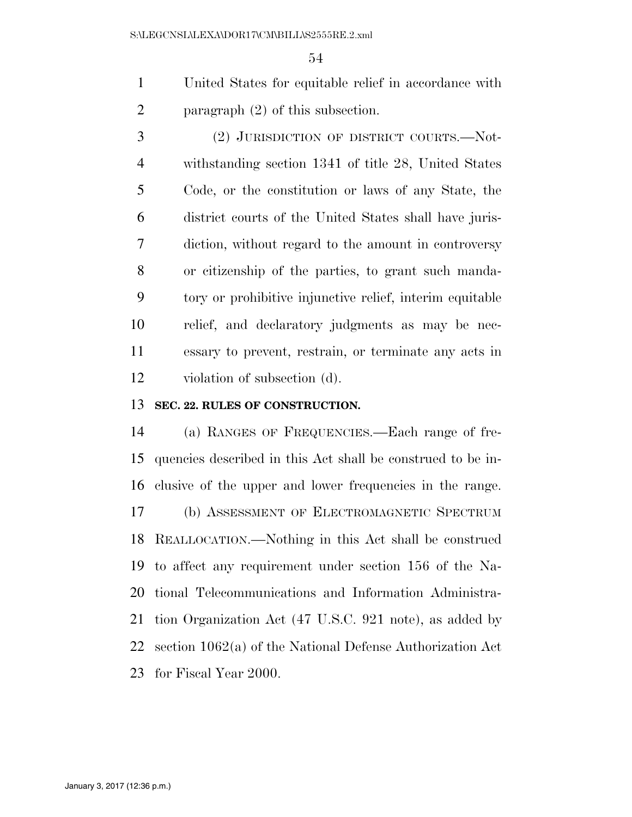United States for equitable relief in accordance with 2 paragraph (2) of this subsection.

 (2) JURISDICTION OF DISTRICT COURTS.—Not- withstanding section 1341 of title 28, United States Code, or the constitution or laws of any State, the district courts of the United States shall have juris- diction, without regard to the amount in controversy or citizenship of the parties, to grant such manda- tory or prohibitive injunctive relief, interim equitable relief, and declaratory judgments as may be nec- essary to prevent, restrain, or terminate any acts in violation of subsection (d).

#### **SEC. 22. RULES OF CONSTRUCTION.**

 (a) RANGES OF FREQUENCIES.—Each range of fre- quencies described in this Act shall be construed to be in- clusive of the upper and lower frequencies in the range. (b) ASSESSMENT OF ELECTROMAGNETIC SPECTRUM REALLOCATION.—Nothing in this Act shall be construed to affect any requirement under section 156 of the Na- tional Telecommunications and Information Administra- tion Organization Act (47 U.S.C. 921 note), as added by section 1062(a) of the National Defense Authorization Act for Fiscal Year 2000.